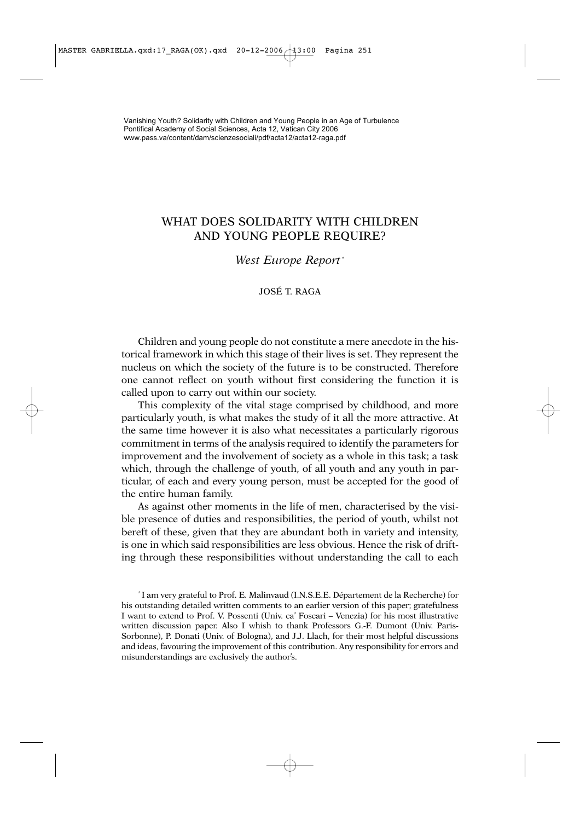# WHAT DOES SOLIDARITY WITH CHILDREN AND YOUNG PEOPLE REQUIRE?

# *West Europe Report* \*

# JOSÉ T. RAGA

Children and young people do not constitute a mere anecdote in the historical framework in which this stage of their lives is set. They represent the nucleus on which the society of the future is to be constructed. Therefore one cannot reflect on youth without first considering the function it is called upon to carry out within our society.

This complexity of the vital stage comprised by childhood, and more particularly youth, is what makes the study of it all the more attractive. At the same time however it is also what necessitates a particularly rigorous commitment in terms of the analysis required to identify the parameters for improvement and the involvement of society as a whole in this task; a task which, through the challenge of youth, of all youth and any youth in particular, of each and every young person, must be accepted for the good of the entire human family.

As against other moments in the life of men, characterised by the visible presence of duties and responsibilities, the period of youth, whilst not bereft of these, given that they are abundant both in variety and intensity, is one in which said responsibilities are less obvious. Hence the risk of drifting through these responsibilities without understanding the call to each

\* I am very grateful to Prof. E. Malinvaud (I.N.S.E.E. Département de la Recherche) for his outstanding detailed written comments to an earlier version of this paper; gratefulness I want to extend to Prof. V. Possenti (Univ. ca' Foscari – Venezia) for his most illustrative written discussion paper. Also I whish to thank Professors G.-F. Dumont (Univ. Paris-Sorbonne), P. Donati (Univ. of Bologna), and J.J. Llach, for their most helpful discussions and ideas, favouring the improvement of this contribution. Any responsibility for errors and misunderstandings are exclusively the author's.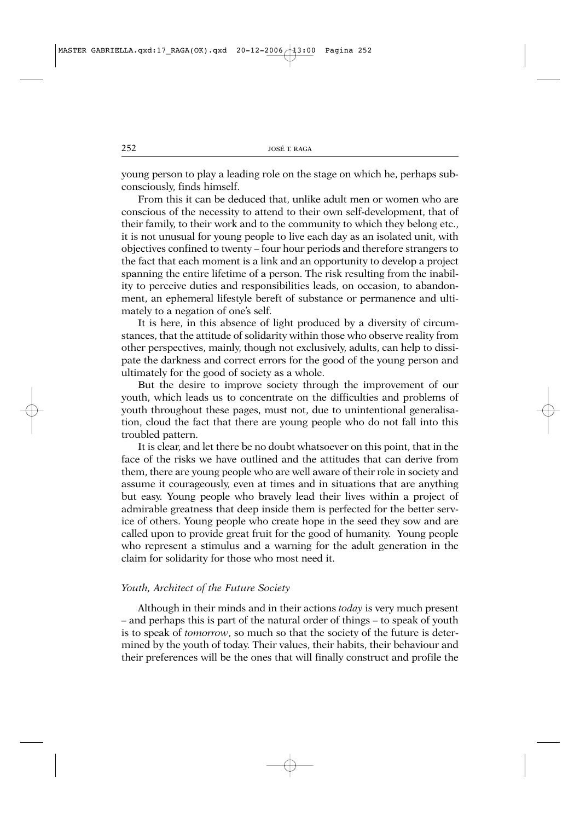young person to play a leading role on the stage on which he, perhaps subconsciously, finds himself.

From this it can be deduced that, unlike adult men or women who are conscious of the necessity to attend to their own self-development, that of their family, to their work and to the community to which they belong etc., it is not unusual for young people to live each day as an isolated unit, with objectives confined to twenty – four hour periods and therefore strangers to the fact that each moment is a link and an opportunity to develop a project spanning the entire lifetime of a person. The risk resulting from the inability to perceive duties and responsibilities leads, on occasion, to abandonment, an ephemeral lifestyle bereft of substance or permanence and ultimately to a negation of one's self.

It is here, in this absence of light produced by a diversity of circumstances, that the attitude of solidarity within those who observe reality from other perspectives, mainly, though not exclusively, adults, can help to dissipate the darkness and correct errors for the good of the young person and ultimately for the good of society as a whole.

But the desire to improve society through the improvement of our youth, which leads us to concentrate on the difficulties and problems of youth throughout these pages, must not, due to unintentional generalisation, cloud the fact that there are young people who do not fall into this troubled pattern.

It is clear, and let there be no doubt whatsoever on this point, that in the face of the risks we have outlined and the attitudes that can derive from them, there are young people who are well aware of their role in society and assume it courageously, even at times and in situations that are anything but easy. Young people who bravely lead their lives within a project of admirable greatness that deep inside them is perfected for the better service of others. Young people who create hope in the seed they sow and are called upon to provide great fruit for the good of humanity. Young people who represent a stimulus and a warning for the adult generation in the claim for solidarity for those who most need it.

## *Youth, Architect of the Future Society*

Although in their minds and in their actions *today* is very much present – and perhaps this is part of the natural order of things – to speak of youth is to speak of *tomorrow*, so much so that the society of the future is determined by the youth of today. Their values, their habits, their behaviour and their preferences will be the ones that will finally construct and profile the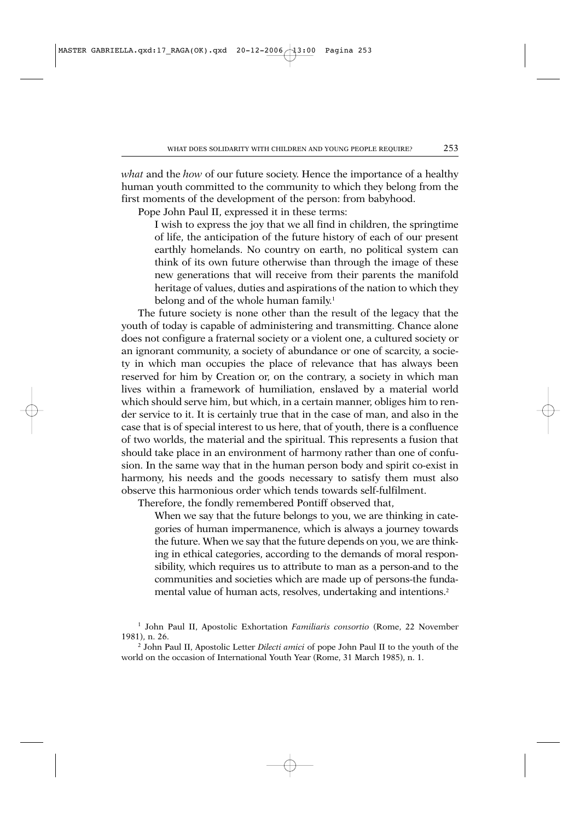*what* and the *how* of our future society. Hence the importance of a healthy human youth committed to the community to which they belong from the first moments of the development of the person: from babyhood.

Pope John Paul II, expressed it in these terms:

I wish to express the joy that we all find in children, the springtime of life, the anticipation of the future history of each of our present earthly homelands. No country on earth, no political system can think of its own future otherwise than through the image of these new generations that will receive from their parents the manifold heritage of values, duties and aspirations of the nation to which they belong and of the whole human family.<sup>1</sup>

The future society is none other than the result of the legacy that the youth of today is capable of administering and transmitting. Chance alone does not configure a fraternal society or a violent one, a cultured society or an ignorant community, a society of abundance or one of scarcity, a society in which man occupies the place of relevance that has always been reserved for him by Creation or, on the contrary, a society in which man lives within a framework of humiliation, enslaved by a material world which should serve him, but which, in a certain manner, obliges him to render service to it. It is certainly true that in the case of man, and also in the case that is of special interest to us here, that of youth, there is a confluence of two worlds, the material and the spiritual. This represents a fusion that should take place in an environment of harmony rather than one of confusion. In the same way that in the human person body and spirit co-exist in harmony, his needs and the goods necessary to satisfy them must also observe this harmonious order which tends towards self-fulfilment.

Therefore, the fondly remembered Pontiff observed that,

When we say that the future belongs to you, we are thinking in categories of human impermanence, which is always a journey towards the future. When we say that the future depends on you, we are thinking in ethical categories, according to the demands of moral responsibility, which requires us to attribute to man as a person-and to the communities and societies which are made up of persons-the fundamental value of human acts, resolves, undertaking and intentions.<sup>2</sup>

<sup>1</sup> John Paul II, Apostolic Exhortation *Familiaris consortio* (Rome, 22 November 1981), n. 26.

<sup>2</sup> John Paul II, Apostolic Letter *Dilecti amici* of pope John Paul II to the youth of the world on the occasion of International Youth Year (Rome, 31 March 1985), n. 1.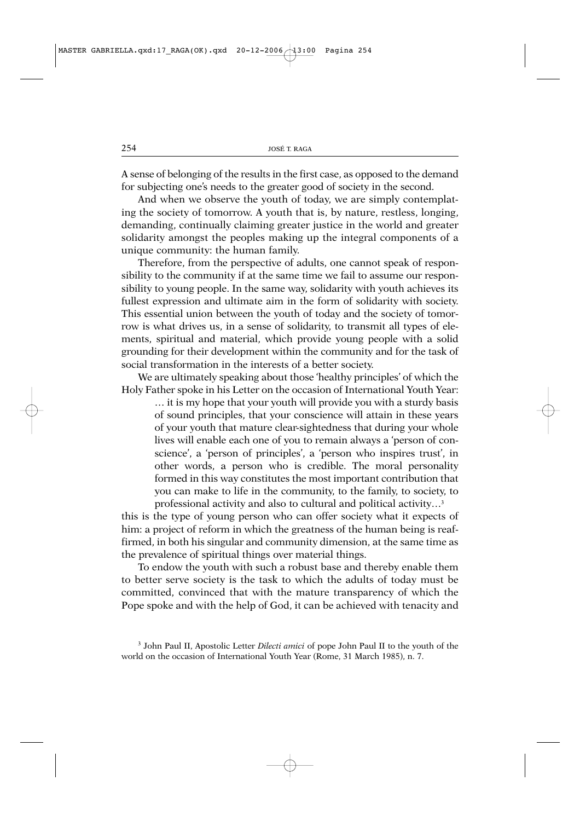A sense of belonging of the results in the first case, as opposed to the demand for subjecting one's needs to the greater good of society in the second.

And when we observe the youth of today, we are simply contemplating the society of tomorrow. A youth that is, by nature, restless, longing, demanding, continually claiming greater justice in the world and greater solidarity amongst the peoples making up the integral components of a unique community: the human family.

Therefore, from the perspective of adults, one cannot speak of responsibility to the community if at the same time we fail to assume our responsibility to young people. In the same way, solidarity with youth achieves its fullest expression and ultimate aim in the form of solidarity with society. This essential union between the youth of today and the society of tomorrow is what drives us, in a sense of solidarity, to transmit all types of elements, spiritual and material, which provide young people with a solid grounding for their development within the community and for the task of social transformation in the interests of a better society.

We are ultimately speaking about those 'healthy principles' of which the Holy Father spoke in his Letter on the occasion of International Youth Year:

… it is my hope that your youth will provide you with a sturdy basis of sound principles, that your conscience will attain in these years of your youth that mature clear-sightedness that during your whole lives will enable each one of you to remain always a 'person of conscience', a 'person of principles', a 'person who inspires trust', in other words, a person who is credible. The moral personality formed in this way constitutes the most important contribution that you can make to life in the community, to the family, to society, to professional activity and also to cultural and political activity…3

this is the type of young person who can offer society what it expects of him: a project of reform in which the greatness of the human being is reaffirmed, in both his singular and community dimension, at the same time as the prevalence of spiritual things over material things.

To endow the youth with such a robust base and thereby enable them to better serve society is the task to which the adults of today must be committed, convinced that with the mature transparency of which the Pope spoke and with the help of God, it can be achieved with tenacity and

<sup>3</sup> John Paul II, Apostolic Letter *Dilecti amici* of pope John Paul II to the youth of the world on the occasion of International Youth Year (Rome, 31 March 1985), n. 7.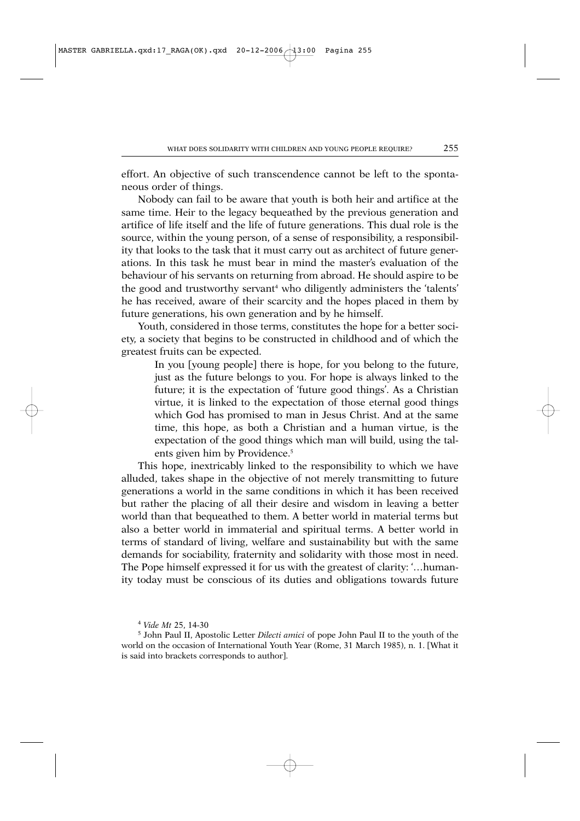effort. An objective of such transcendence cannot be left to the spontaneous order of things.

Nobody can fail to be aware that youth is both heir and artifice at the same time. Heir to the legacy bequeathed by the previous generation and artifice of life itself and the life of future generations. This dual role is the source, within the young person, of a sense of responsibility, a responsibility that looks to the task that it must carry out as architect of future generations. In this task he must bear in mind the master's evaluation of the behaviour of his servants on returning from abroad. He should aspire to be the good and trustworthy servant<sup>4</sup> who diligently administers the 'talents' he has received, aware of their scarcity and the hopes placed in them by future generations, his own generation and by he himself.

Youth, considered in those terms, constitutes the hope for a better society, a society that begins to be constructed in childhood and of which the greatest fruits can be expected.

In you [young people] there is hope, for you belong to the future, just as the future belongs to you. For hope is always linked to the future; it is the expectation of 'future good things'. As a Christian virtue, it is linked to the expectation of those eternal good things which God has promised to man in Jesus Christ. And at the same time, this hope, as both a Christian and a human virtue, is the expectation of the good things which man will build, using the talents given him by Providence.<sup>5</sup>

This hope, inextricably linked to the responsibility to which we have alluded, takes shape in the objective of not merely transmitting to future generations a world in the same conditions in which it has been received but rather the placing of all their desire and wisdom in leaving a better world than that bequeathed to them. A better world in material terms but also a better world in immaterial and spiritual terms. A better world in terms of standard of living, welfare and sustainability but with the same demands for sociability, fraternity and solidarity with those most in need. The Pope himself expressed it for us with the greatest of clarity: '…humanity today must be conscious of its duties and obligations towards future

<sup>4</sup> *Vide Mt* 25, 14-30

<sup>5</sup> John Paul II, Apostolic Letter *Dilecti amici* of pope John Paul II to the youth of the world on the occasion of International Youth Year (Rome, 31 March 1985), n. 1. [What it is said into brackets corresponds to author].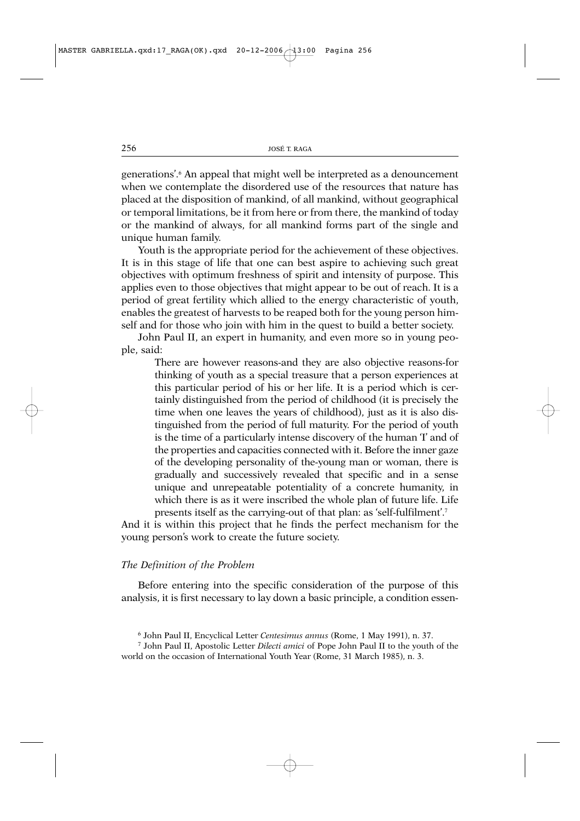generations'.6 An appeal that might well be interpreted as a denouncement when we contemplate the disordered use of the resources that nature has placed at the disposition of mankind, of all mankind, without geographical or temporal limitations, be it from here or from there, the mankind of today or the mankind of always, for all mankind forms part of the single and unique human family.

Youth is the appropriate period for the achievement of these objectives. It is in this stage of life that one can best aspire to achieving such great objectives with optimum freshness of spirit and intensity of purpose. This applies even to those objectives that might appear to be out of reach. It is a period of great fertility which allied to the energy characteristic of youth, enables the greatest of harvests to be reaped both for the young person himself and for those who join with him in the quest to build a better society.

John Paul II, an expert in humanity, and even more so in young people, said:

There are however reasons-and they are also objective reasons-for thinking of youth as a special treasure that a person experiences at this particular period of his or her life. It is a period which is certainly distinguished from the period of childhood (it is precisely the time when one leaves the years of childhood), just as it is also distinguished from the period of full maturity. For the period of youth is the time of a particularly intense discovery of the human 'I' and of the properties and capacities connected with it. Before the inner gaze of the developing personality of the-young man or woman, there is gradually and successively revealed that specific and in a sense unique and unrepeatable potentiality of a concrete humanity, in which there is as it were inscribed the whole plan of future life. Life presents itself as the carrying-out of that plan: as 'self-fulfilment'.7

And it is within this project that he finds the perfect mechanism for the young person's work to create the future society.

## *The Definition of the Problem*

Before entering into the specific consideration of the purpose of this analysis, it is first necessary to lay down a basic principle, a condition essen-

<sup>6</sup> John Paul II, Encyclical Letter *Centesimus annus* (Rome, 1 May 1991), n. 37.

<sup>7</sup> John Paul II, Apostolic Letter *Dilecti amici* of Pope John Paul II to the youth of the world on the occasion of International Youth Year (Rome, 31 March 1985), n. 3.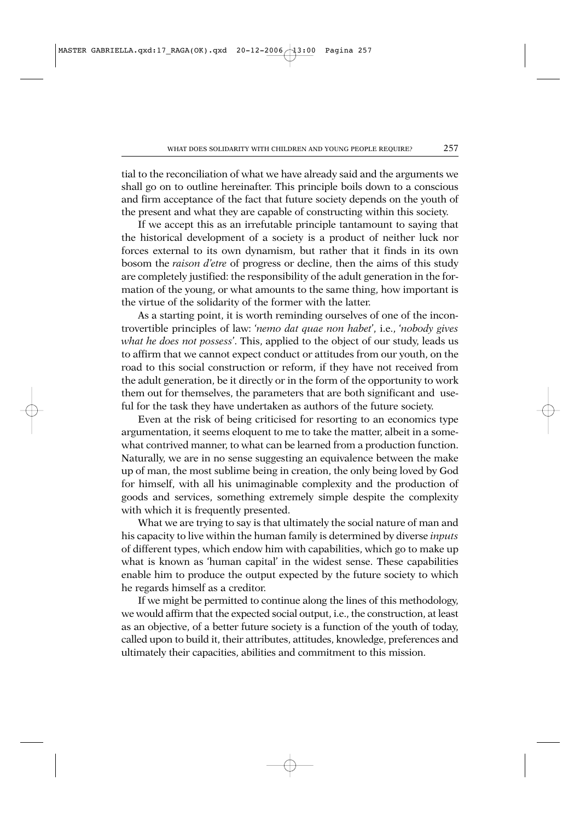tial to the reconciliation of what we have already said and the arguments we shall go on to outline hereinafter. This principle boils down to a conscious and firm acceptance of the fact that future society depends on the youth of the present and what they are capable of constructing within this society.

If we accept this as an irrefutable principle tantamount to saying that the historical development of a society is a product of neither luck nor forces external to its own dynamism, but rather that it finds in its own bosom the *raison d'etre* of progress or decline, then the aims of this study are completely justified: the responsibility of the adult generation in the formation of the young, or what amounts to the same thing, how important is the virtue of the solidarity of the former with the latter.

As a starting point, it is worth reminding ourselves of one of the incontrovertible principles of law: '*nemo dat quae non habet*', i.e., '*nobody gives what he does not possess*'. This, applied to the object of our study, leads us to affirm that we cannot expect conduct or attitudes from our youth, on the road to this social construction or reform, if they have not received from the adult generation, be it directly or in the form of the opportunity to work them out for themselves, the parameters that are both significant and useful for the task they have undertaken as authors of the future society.

Even at the risk of being criticised for resorting to an economics type argumentation, it seems eloquent to me to take the matter, albeit in a somewhat contrived manner, to what can be learned from a production function. Naturally, we are in no sense suggesting an equivalence between the make up of man, the most sublime being in creation, the only being loved by God for himself, with all his unimaginable complexity and the production of goods and services, something extremely simple despite the complexity with which it is frequently presented.

What we are trying to say is that ultimately the social nature of man and his capacity to live within the human family is determined by diverse *inputs* of different types, which endow him with capabilities, which go to make up what is known as 'human capital' in the widest sense. These capabilities enable him to produce the output expected by the future society to which he regards himself as a creditor.

If we might be permitted to continue along the lines of this methodology, we would affirm that the expected social output, i.e., the construction, at least as an objective, of a better future society is a function of the youth of today, called upon to build it, their attributes, attitudes, knowledge, preferences and ultimately their capacities, abilities and commitment to this mission.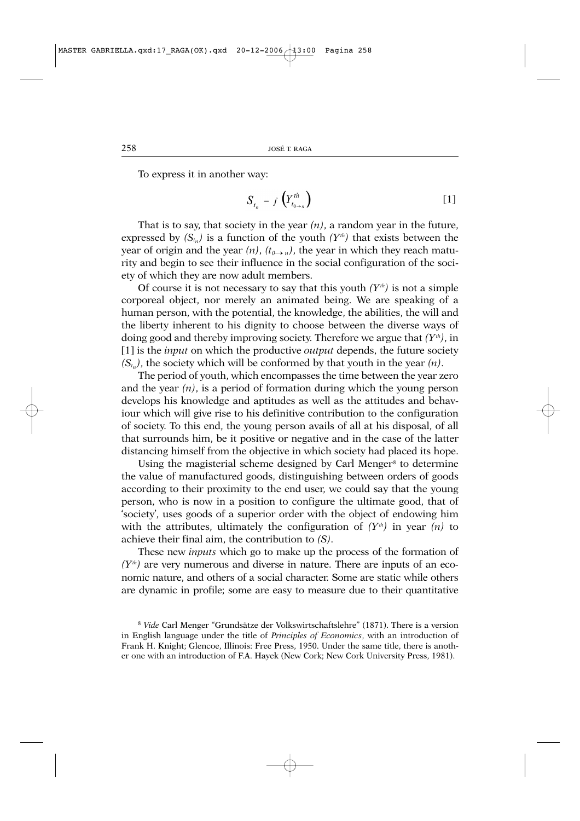To express it in another way:

$$
S_{t_n} = f\left(Y_{t_{0\to n}}^{th}\right) \tag{1}
$$

That is to say, that society in the year  $(n)$ , a random year in the future, expressed by  $(S_{t_n})$  is a function of the youth  $(Y^{t_n})$  that exists between the year of origin and the year  $(n)$ ,  $(t_{0\rightarrow n})$ , the year in which they reach maturity and begin to see their influence in the social configuration of the society of which they are now adult members.

Of course it is not necessary to say that this youth  $(Y<sup>th</sup>)$  is not a simple corporeal object, nor merely an animated being. We are speaking of a human person, with the potential, the knowledge, the abilities, the will and the liberty inherent to his dignity to choose between the diverse ways of doing good and thereby improving society. Therefore we argue that  $(Y<sup>th</sup>)$ , in [1] is the *input* on which the productive *output* depends, the future society  $(S_{t_n})$ , the society which will be conformed by that youth in the year  $(n)$ .

The period of youth, which encompasses the time between the year zero and the year *(n)*, is a period of formation during which the young person develops his knowledge and aptitudes as well as the attitudes and behaviour which will give rise to his definitive contribution to the configuration of society. To this end, the young person avails of all at his disposal, of all that surrounds him, be it positive or negative and in the case of the latter distancing himself from the objective in which society had placed its hope.

Using the magisterial scheme designed by Carl Menger<sup>8</sup> to determine the value of manufactured goods, distinguishing between orders of goods according to their proximity to the end user, we could say that the young person, who is now in a position to configure the ultimate good, that of 'society', uses goods of a superior order with the object of endowing him with the attributes, ultimately the configuration of  $(Y<sup>th</sup>)$  in year  $(n)$  to achieve their final aim, the contribution to *(S)*.

These new *inputs* which go to make up the process of the formation of  $(Y<sup>th</sup>)$  are very numerous and diverse in nature. There are inputs of an economic nature, and others of a social character. Some are static while others are dynamic in profile; some are easy to measure due to their quantitative

<sup>8</sup> *Vide* Carl Menger "Grundsätze der Volkswirtschaftslehre" (1871). There is a version in English language under the title of *Principles of Economics*, with an introduction of Frank H. Knight; Glencoe, Illinois: Free Press, 1950. Under the same title, there is another one with an introduction of F.A. Hayek (New Cork; New Cork University Press, 1981).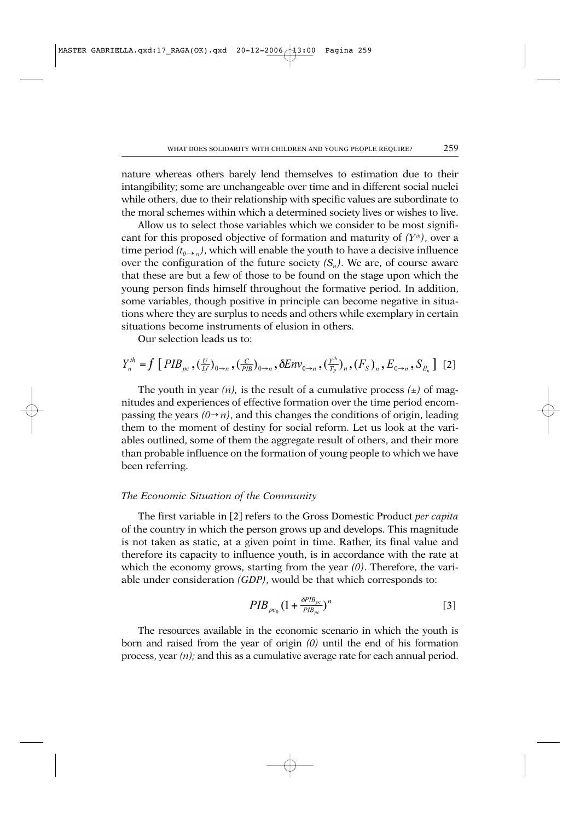nature whereas others barely lend themselves to estimation due to their intangibility; some are unchangeable over time and in different social nuclei while others, due to their relationship with specific values are subordinate to the moral schemes within which a determined society lives or wishes to live.

Allow us to select those variables which we consider to be most significant for this proposed objective of formation and maturity of *(Yth)*, over a time period  $(t_{0\rightarrow n})$ , which will enable the youth to have a decisive influence over the configuration of the future society  $(S_n)$ . We are, of course aware that these are but a few of those to be found on the stage upon which the young person finds himself throughout the formative period. In addition, some variables, though positive in principle can become negative in situations where they are surplus to needs and others while exemplary in certain situations become instruments of elusion in others.

Our selection leads us to:

$$
Y_n^{th} = f\left[ PIB_{pc}, \left(\frac{U}{Lf}\right)_{0\to n}, \left(\frac{C}{PB}\right)_{0\to n}, \delta Env_{0\to n}, \left(\frac{Y_n^{th}}{T_p}\right)_n, \left(F_s\right)_n, E_{0\to n}, S_{B_n}\right] \tag{2}
$$

The youth in year  $(n)$ , is the result of a cumulative process  $(\pm)$  of magnitudes and experiences of effective formation over the time period encompassing the years  $(0 \rightarrow n)$ , and this changes the conditions of origin, leading them to the moment of destiny for social reform. Let us look at the variables outlined, some of them the aggregate result of others, and their more than probable influence on the formation of young people to which we have been referring.

## *The Economic Situation of the Community*

The first variable in [2] refers to the Gross Domestic Product *per capita* of the country in which the person grows up and develops. This magnitude is not taken as static, at a given point in time. Rather, its final value and therefore its capacity to influence youth, is in accordance with the rate at which the economy grows, starting from the year *(0)*. Therefore, the variable under consideration *(GDP)*, would be that which corresponds to:

$$
PIB_{pc_0}(1+\frac{\delta PIB_{pc}}{PIB_{pc}})^n
$$
 [3]

The resources available in the economic scenario in which the youth is born and raised from the year of origin *(0)* until the end of his formation process, year *(n);* and this as a cumulative average rate for each annual period.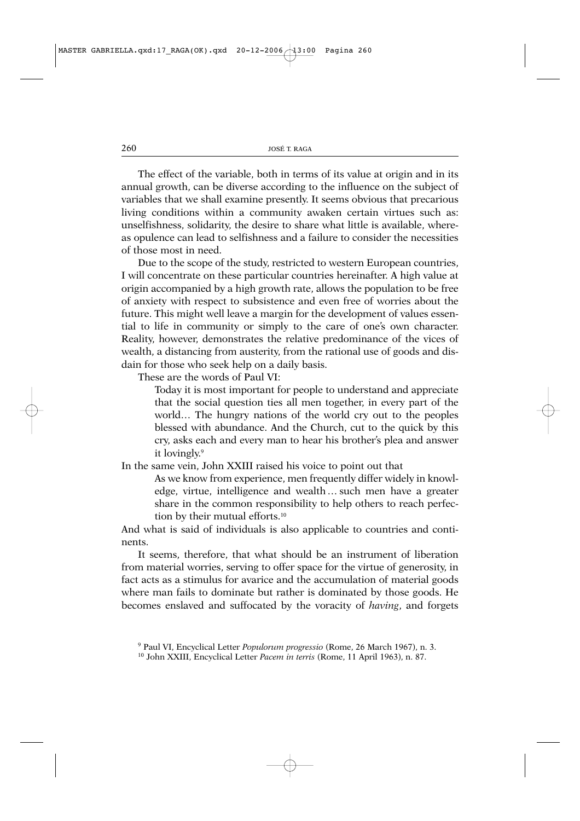The effect of the variable, both in terms of its value at origin and in its annual growth, can be diverse according to the influence on the subject of variables that we shall examine presently. It seems obvious that precarious living conditions within a community awaken certain virtues such as: unselfishness, solidarity, the desire to share what little is available, whereas opulence can lead to selfishness and a failure to consider the necessities of those most in need.

Due to the scope of the study, restricted to western European countries, I will concentrate on these particular countries hereinafter. A high value at origin accompanied by a high growth rate, allows the population to be free of anxiety with respect to subsistence and even free of worries about the future. This might well leave a margin for the development of values essential to life in community or simply to the care of one's own character. Reality, however, demonstrates the relative predominance of the vices of wealth, a distancing from austerity, from the rational use of goods and disdain for those who seek help on a daily basis.

These are the words of Paul VI:

Today it is most important for people to understand and appreciate that the social question ties all men together, in every part of the world… The hungry nations of the world cry out to the peoples blessed with abundance. And the Church, cut to the quick by this cry, asks each and every man to hear his brother's plea and answer it lovingly.9

In the same vein, John XXIII raised his voice to point out that

As we know from experience, men frequently differ widely in knowledge, virtue, intelligence and wealth … such men have a greater share in the common responsibility to help others to reach perfection by their mutual efforts.10

And what is said of individuals is also applicable to countries and continents.

It seems, therefore, that what should be an instrument of liberation from material worries, serving to offer space for the virtue of generosity, in fact acts as a stimulus for avarice and the accumulation of material goods where man fails to dominate but rather is dominated by those goods. He becomes enslaved and suffocated by the voracity of *having*, and forgets

<sup>9</sup> Paul VI, Encyclical Letter *Populorum progressio* (Rome, 26 March 1967), n. 3.

<sup>10</sup> John XXIII, Encyclical Letter *Pacem in terris* (Rome, 11 April 1963), n. 87.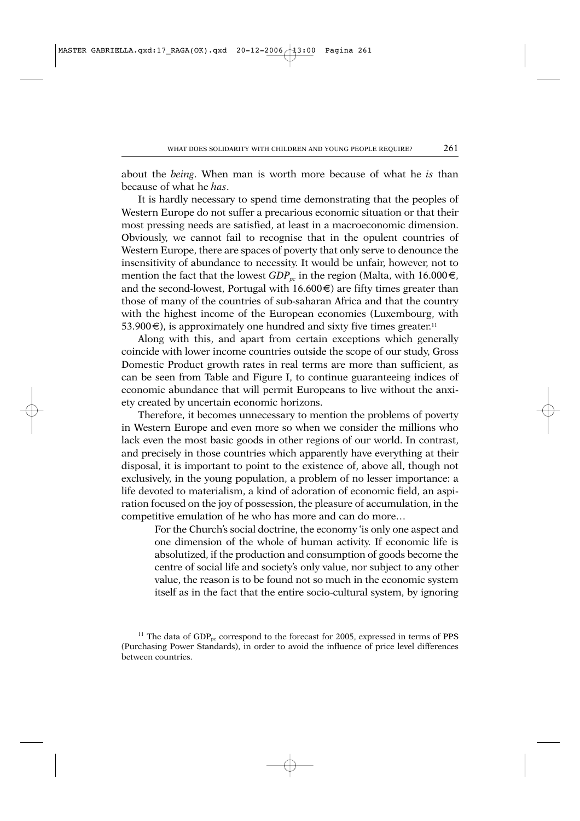about the *being*. When man is worth more because of what he *is* than because of what he *has*.

It is hardly necessary to spend time demonstrating that the peoples of Western Europe do not suffer a precarious economic situation or that their most pressing needs are satisfied, at least in a macroeconomic dimension. Obviously, we cannot fail to recognise that in the opulent countries of Western Europe, there are spaces of poverty that only serve to denounce the insensitivity of abundance to necessity. It would be unfair, however, not to mention the fact that the lowest  $GDP_{pc}$  in the region (Malta, with 16.000€, and the second-lowest, Portugal with  $16.600 \in \mathcal{E}$  are fifty times greater than those of many of the countries of sub-saharan Africa and that the country with the highest income of the European economies (Luxembourg, with 53.900€), is approximately one hundred and sixty five times greater.<sup>11</sup>

Along with this, and apart from certain exceptions which generally coincide with lower income countries outside the scope of our study, Gross Domestic Product growth rates in real terms are more than sufficient, as can be seen from Table and Figure I, to continue guaranteeing indices of economic abundance that will permit Europeans to live without the anxiety created by uncertain economic horizons.

Therefore, it becomes unnecessary to mention the problems of poverty in Western Europe and even more so when we consider the millions who lack even the most basic goods in other regions of our world. In contrast, and precisely in those countries which apparently have everything at their disposal, it is important to point to the existence of, above all, though not exclusively, in the young population, a problem of no lesser importance: a life devoted to materialism, a kind of adoration of economic field, an aspiration focused on the joy of possession, the pleasure of accumulation, in the competitive emulation of he who has more and can do more…

For the Church's social doctrine, the economy 'is only one aspect and one dimension of the whole of human activity. If economic life is absolutized, if the production and consumption of goods become the centre of social life and society's only value, nor subject to any other value, the reason is to be found not so much in the economic system itself as in the fact that the entire socio-cultural system, by ignoring

<sup>&</sup>lt;sup>11</sup> The data of  $GDP_{pc}$  correspond to the forecast for 2005, expressed in terms of PPS (Purchasing Power Standards), in order to avoid the influence of price level differences between countries.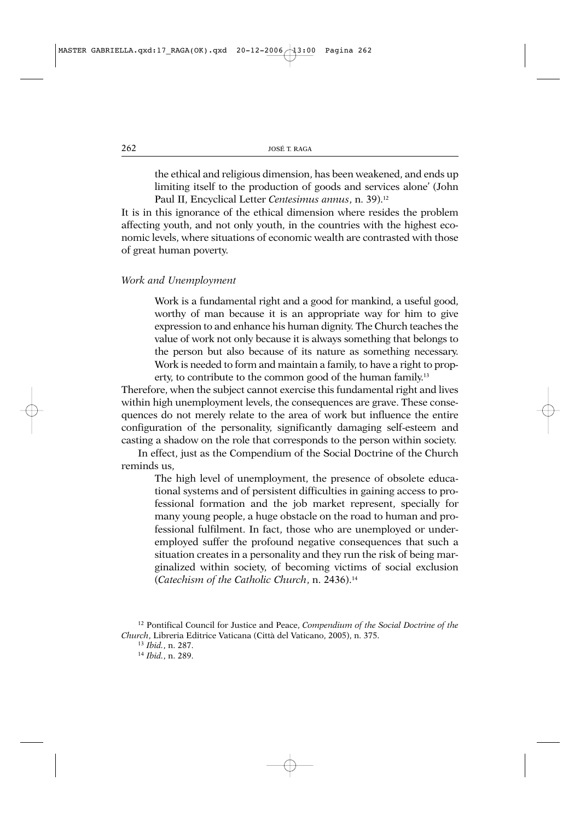the ethical and religious dimension, has been weakened, and ends up limiting itself to the production of goods and services alone' (John Paul II, Encyclical Letter *Centesimus annus*, n. 39).12

It is in this ignorance of the ethical dimension where resides the problem affecting youth, and not only youth, in the countries with the highest economic levels, where situations of economic wealth are contrasted with those of great human poverty.

# *Work and Unemployment*

Work is a fundamental right and a good for mankind, a useful good, worthy of man because it is an appropriate way for him to give expression to and enhance his human dignity. The Church teaches the value of work not only because it is always something that belongs to the person but also because of its nature as something necessary. Work is needed to form and maintain a family, to have a right to property, to contribute to the common good of the human family.13

Therefore, when the subject cannot exercise this fundamental right and lives within high unemployment levels, the consequences are grave. These consequences do not merely relate to the area of work but influence the entire configuration of the personality, significantly damaging self-esteem and casting a shadow on the role that corresponds to the person within society.

In effect, just as the Compendium of the Social Doctrine of the Church reminds us,

The high level of unemployment, the presence of obsolete educational systems and of persistent difficulties in gaining access to professional formation and the job market represent, specially for many young people, a huge obstacle on the road to human and professional fulfilment. In fact, those who are unemployed or underemployed suffer the profound negative consequences that such a situation creates in a personality and they run the risk of being marginalized within society, of becoming victims of social exclusion (*Catechism of the Catholic Church*, n. 2436).14

<sup>12</sup> Pontifical Council for Justice and Peace, *Compendium of the Social Doctrine of the Church*, Libreria Editrice Vaticana (Città del Vaticano, 2005), n. 375.

<sup>13</sup> *Ibid.*, n. 287.

<sup>14</sup> *Ibid.*, n. 289.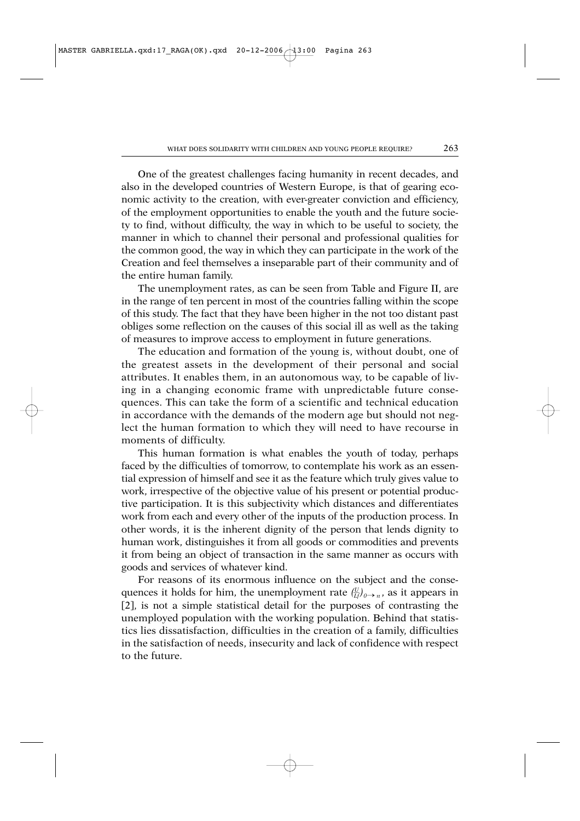One of the greatest challenges facing humanity in recent decades, and also in the developed countries of Western Europe, is that of gearing economic activity to the creation, with ever-greater conviction and efficiency, of the employment opportunities to enable the youth and the future society to find, without difficulty, the way in which to be useful to society, the manner in which to channel their personal and professional qualities for the common good, the way in which they can participate in the work of the Creation and feel themselves a inseparable part of their community and of the entire human family.

The unemployment rates, as can be seen from Table and Figure II, are in the range of ten percent in most of the countries falling within the scope of this study. The fact that they have been higher in the not too distant past obliges some reflection on the causes of this social ill as well as the taking of measures to improve access to employment in future generations.

The education and formation of the young is, without doubt, one of the greatest assets in the development of their personal and social attributes. It enables them, in an autonomous way, to be capable of living in a changing economic frame with unpredictable future consequences. This can take the form of a scientific and technical education in accordance with the demands of the modern age but should not neglect the human formation to which they will need to have recourse in moments of difficulty.

This human formation is what enables the youth of today, perhaps faced by the difficulties of tomorrow, to contemplate his work as an essential expression of himself and see it as the feature which truly gives value to work, irrespective of the objective value of his present or potential productive participation. It is this subjectivity which distances and differentiates work from each and every other of the inputs of the production process. In other words, it is the inherent dignity of the person that lends dignity to human work, distinguishes it from all goods or commodities and prevents it from being an object of transaction in the same manner as occurs with goods and services of whatever kind.

For reasons of its enormous influence on the subject and the consequences it holds for him, the unemployment rate  $\frac{U}{Uf}|_{0\to n}$ , as it appears in [2], is not a simple statistical detail for the purposes of contrasting the unemployed population with the working population. Behind that statistics lies dissatisfaction, difficulties in the creation of a family, difficulties in the satisfaction of needs, insecurity and lack of confidence with respect to the future.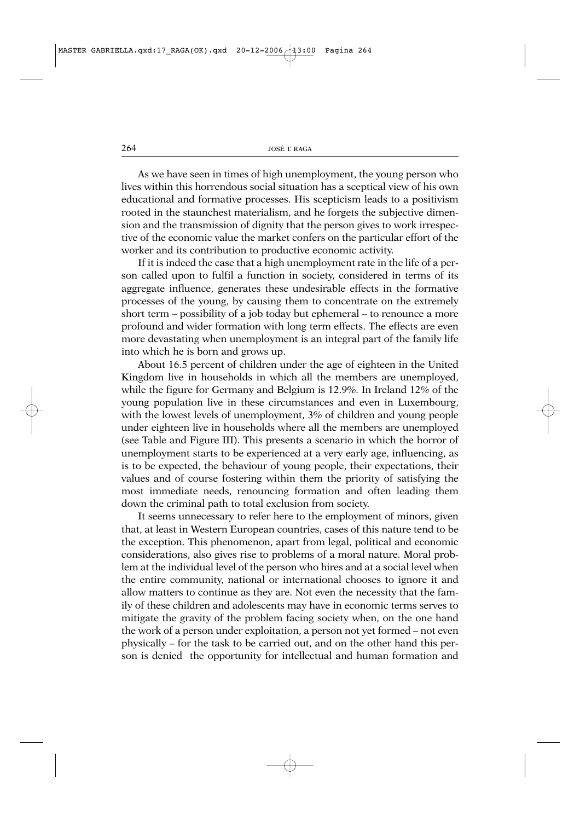As we have seen in times of high unemployment, the young person who lives within this horrendous social situation has a sceptical view of his own educational and formative processes. His scepticism leads to a positivism rooted in the staunchest materialism, and he forgets the subjective dimension and the transmission of dignity that the person gives to work irrespective of the economic value the market confers on the particular effort of the worker and its contribution to productive economic activity.

If it is indeed the case that a high unemployment rate in the life of a person called upon to fulfil a function in society, considered in terms of its aggregate influence, generates these undesirable effects in the formative processes of the young, by causing them to concentrate on the extremely short term – possibility of a job today but ephemeral – to renounce a more profound and wider formation with long term effects. The effects are even more devastating when unemployment is an integral part of the family life into which he is born and grows up.

About 16.5 percent of children under the age of eighteen in the United Kingdom live in households in which all the members are unemployed, while the figure for Germany and Belgium is 12.9%. In Ireland 12% of the young population live in these circumstances and even in Luxembourg, with the lowest levels of unemployment, 3% of children and young people under eighteen live in households where all the members are unemployed (see Table and Figure III). This presents a scenario in which the horror of unemployment starts to be experienced at a very early age, influencing, as is to be expected, the behaviour of young people, their expectations, their values and of course fostering within them the priority of satisfying the most immediate needs, renouncing formation and often leading them down the criminal path to total exclusion from society.

It seems unnecessary to refer here to the employment of minors, given that, at least in Western European countries, cases of this nature tend to be the exception. This phenomenon, apart from legal, political and economic considerations, also gives rise to problems of a moral nature. Moral problem at the individual level of the person who hires and at a social level when the entire community, national or international chooses to ignore it and allow matters to continue as they are. Not even the necessity that the family of these children and adolescents may have in economic terms serves to mitigate the gravity of the problem facing society when, on the one hand the work of a person under exploitation, a person not yet formed – not even physically – for the task to be carried out, and on the other hand this person is denied the opportunity for intellectual and human formation and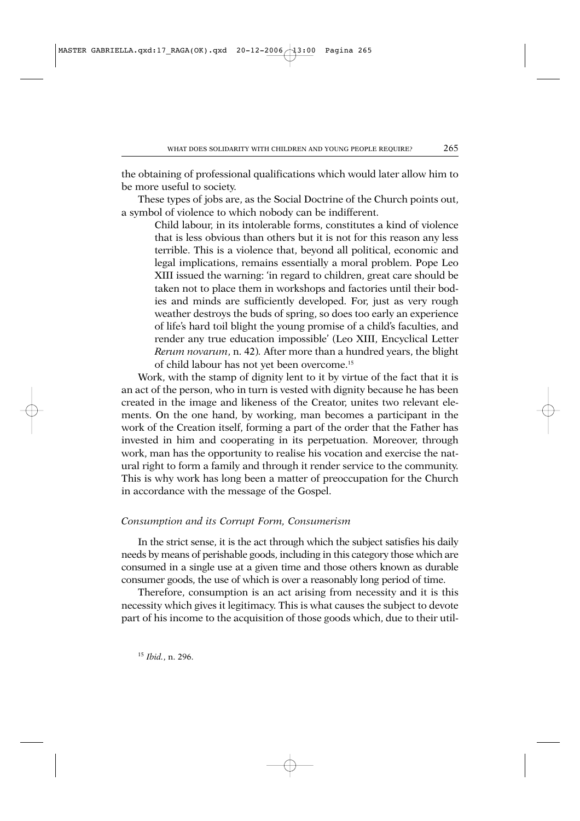the obtaining of professional qualifications which would later allow him to be more useful to society.

These types of jobs are, as the Social Doctrine of the Church points out, a symbol of violence to which nobody can be indifferent.

Child labour, in its intolerable forms, constitutes a kind of violence that is less obvious than others but it is not for this reason any less terrible. This is a violence that, beyond all political, economic and legal implications, remains essentially a moral problem. Pope Leo XIII issued the warning: 'in regard to children, great care should be taken not to place them in workshops and factories until their bodies and minds are sufficiently developed. For, just as very rough weather destroys the buds of spring, so does too early an experience of life's hard toil blight the young promise of a child's faculties, and render any true education impossible' (Leo XIII, Encyclical Letter *Rerum novarum*, n. 42)*.* After more than a hundred years, the blight of child labour has not yet been overcome.15

Work, with the stamp of dignity lent to it by virtue of the fact that it is an act of the person, who in turn is vested with dignity because he has been created in the image and likeness of the Creator, unites two relevant elements. On the one hand, by working, man becomes a participant in the work of the Creation itself, forming a part of the order that the Father has invested in him and cooperating in its perpetuation. Moreover, through work, man has the opportunity to realise his vocation and exercise the natural right to form a family and through it render service to the community. This is why work has long been a matter of preoccupation for the Church in accordance with the message of the Gospel.

#### *Consumption and its Corrupt Form, Consumerism*

In the strict sense, it is the act through which the subject satisfies his daily needs by means of perishable goods, including in this category those which are consumed in a single use at a given time and those others known as durable consumer goods, the use of which is over a reasonably long period of time.

Therefore, consumption is an act arising from necessity and it is this necessity which gives it legitimacy. This is what causes the subject to devote part of his income to the acquisition of those goods which, due to their util-

<sup>15</sup> *Ibid.*, n. 296.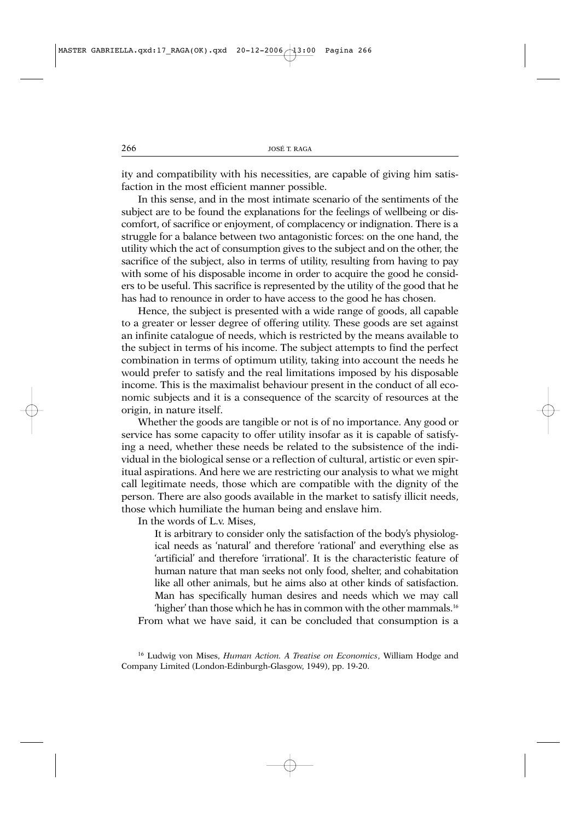ity and compatibility with his necessities, are capable of giving him satisfaction in the most efficient manner possible.

In this sense, and in the most intimate scenario of the sentiments of the subject are to be found the explanations for the feelings of wellbeing or discomfort, of sacrifice or enjoyment, of complacency or indignation. There is a struggle for a balance between two antagonistic forces: on the one hand, the utility which the act of consumption gives to the subject and on the other, the sacrifice of the subject, also in terms of utility, resulting from having to pay with some of his disposable income in order to acquire the good he considers to be useful. This sacrifice is represented by the utility of the good that he has had to renounce in order to have access to the good he has chosen.

Hence, the subject is presented with a wide range of goods, all capable to a greater or lesser degree of offering utility. These goods are set against an infinite catalogue of needs, which is restricted by the means available to the subject in terms of his income. The subject attempts to find the perfect combination in terms of optimum utility, taking into account the needs he would prefer to satisfy and the real limitations imposed by his disposable income. This is the maximalist behaviour present in the conduct of all economic subjects and it is a consequence of the scarcity of resources at the origin, in nature itself.

Whether the goods are tangible or not is of no importance. Any good or service has some capacity to offer utility insofar as it is capable of satisfying a need, whether these needs be related to the subsistence of the individual in the biological sense or a reflection of cultural, artistic or even spiritual aspirations. And here we are restricting our analysis to what we might call legitimate needs, those which are compatible with the dignity of the person. There are also goods available in the market to satisfy illicit needs, those which humiliate the human being and enslave him.

In the words of L.v. Mises,

It is arbitrary to consider only the satisfaction of the body's physiological needs as 'natural' and therefore 'rational' and everything else as 'artificial' and therefore 'irrational'. It is the characteristic feature of human nature that man seeks not only food, shelter, and cohabitation like all other animals, but he aims also at other kinds of satisfaction. Man has specifically human desires and needs which we may call 'higher' than those which he has in common with the other mammals.16

From what we have said, it can be concluded that consumption is a

<sup>16</sup> Ludwig von Mises, *Human Action. A Treatise on Economics*, William Hodge and Company Limited (London-Edinburgh-Glasgow, 1949), pp. 19-20.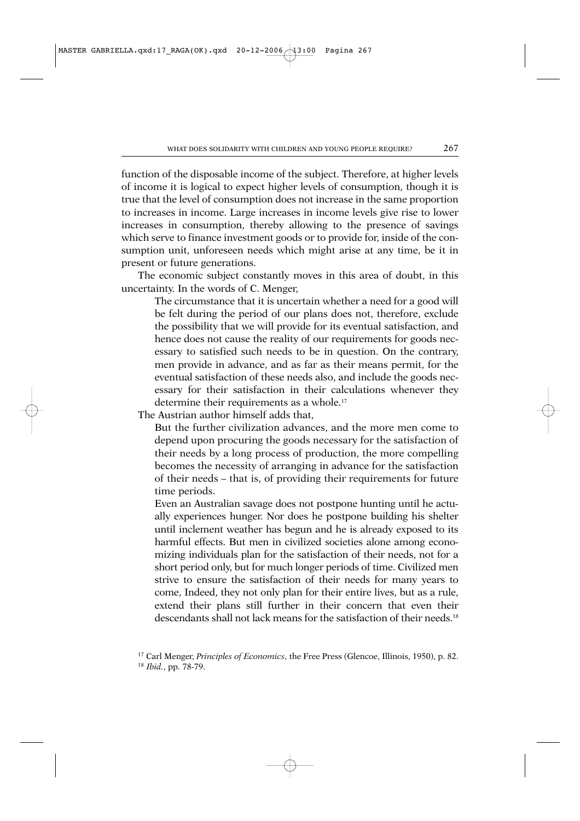function of the disposable income of the subject. Therefore, at higher levels of income it is logical to expect higher levels of consumption, though it is true that the level of consumption does not increase in the same proportion to increases in income. Large increases in income levels give rise to lower increases in consumption, thereby allowing to the presence of savings which serve to finance investment goods or to provide for, inside of the consumption unit, unforeseen needs which might arise at any time, be it in present or future generations.

The economic subject constantly moves in this area of doubt, in this uncertainty. In the words of C. Menger,

The circumstance that it is uncertain whether a need for a good will be felt during the period of our plans does not, therefore, exclude the possibility that we will provide for its eventual satisfaction, and hence does not cause the reality of our requirements for goods necessary to satisfied such needs to be in question. On the contrary, men provide in advance, and as far as their means permit, for the eventual satisfaction of these needs also, and include the goods necessary for their satisfaction in their calculations whenever they determine their requirements as a whole.17

The Austrian author himself adds that,

But the further civilization advances, and the more men come to depend upon procuring the goods necessary for the satisfaction of their needs by a long process of production, the more compelling becomes the necessity of arranging in advance for the satisfaction of their needs – that is, of providing their requirements for future time periods.

Even an Australian savage does not postpone hunting until he actually experiences hunger. Nor does he postpone building his shelter until inclement weather has begun and he is already exposed to its harmful effects. But men in civilized societies alone among economizing individuals plan for the satisfaction of their needs, not for a short period only, but for much longer periods of time. Civilized men strive to ensure the satisfaction of their needs for many years to come, Indeed, they not only plan for their entire lives, but as a rule, extend their plans still further in their concern that even their descendants shall not lack means for the satisfaction of their needs.18

<sup>17</sup> Carl Menger, *Principles of Economics*, the Free Press (Glencoe, Illinois, 1950), p. 82. <sup>18</sup> *Ibid.*, pp. 78-79.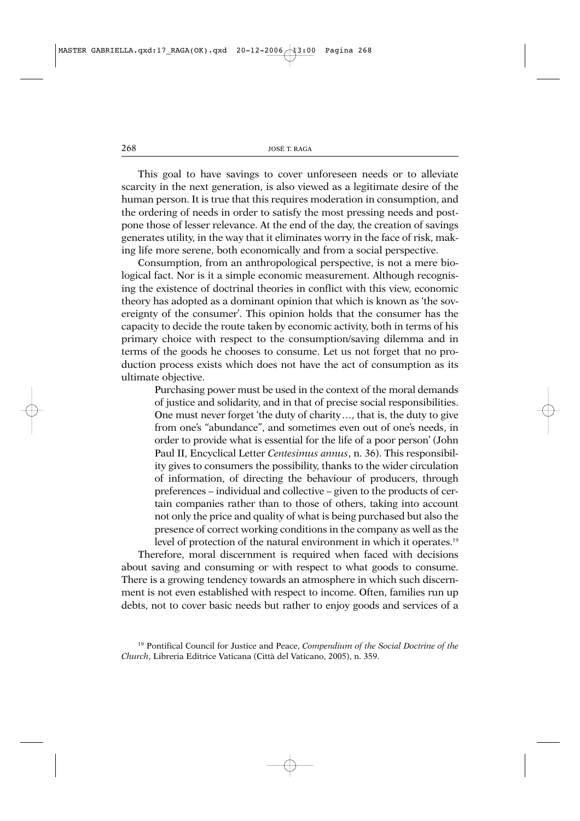This goal to have savings to cover unforeseen needs or to alleviate scarcity in the next generation, is also viewed as a legitimate desire of the human person. It is true that this requires moderation in consumption, and the ordering of needs in order to satisfy the most pressing needs and postpone those of lesser relevance. At the end of the day, the creation of savings generates utility, in the way that it eliminates worry in the face of risk, making life more serene, both economically and from a social perspective.

Consumption, from an anthropological perspective, is not a mere biological fact. Nor is it a simple economic measurement. Although recognising the existence of doctrinal theories in conflict with this view, economic theory has adopted as a dominant opinion that which is known as 'the sovereignty of the consumer'. This opinion holds that the consumer has the capacity to decide the route taken by economic activity, both in terms of his primary choice with respect to the consumption/saving dilemma and in terms of the goods he chooses to consume. Let us not forget that no production process exists which does not have the act of consumption as its ultimate objective.

Purchasing power must be used in the context of the moral demands of justice and solidarity, and in that of precise social responsibilities. One must never forget 'the duty of charity…, that is, the duty to give from one's "abundance", and sometimes even out of one's needs, in order to provide what is essential for the life of a poor person' (John Paul II, Encyclical Letter *Centesimus annus*, n. 36). This responsibility gives to consumers the possibility, thanks to the wider circulation of information, of directing the behaviour of producers, through preferences – individual and collective – given to the products of certain companies rather than to those of others, taking into account not only the price and quality of what is being purchased but also the presence of correct working conditions in the company as well as the level of protection of the natural environment in which it operates.<sup>19</sup>

Therefore, moral discernment is required when faced with decisions about saving and consuming or with respect to what goods to consume. There is a growing tendency towards an atmosphere in which such discernment is not even established with respect to income. Often, families run up debts, not to cover basic needs but rather to enjoy goods and services of a

<sup>19</sup> Pontifical Council for Justice and Peace, *Compendium of the Social Doctrine of the Church*, Libreria Editrice Vaticana (Città del Vaticano, 2005), n. 359.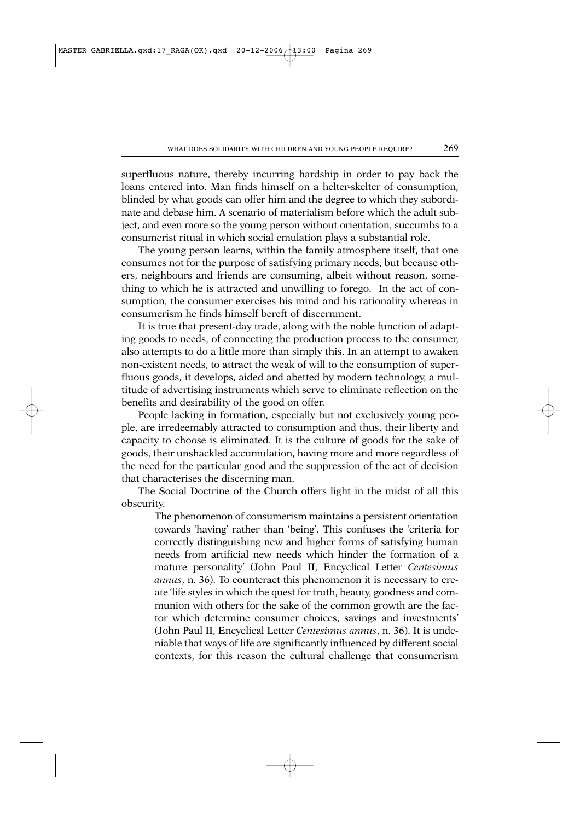superfluous nature, thereby incurring hardship in order to pay back the loans entered into. Man finds himself on a helter-skelter of consumption, blinded by what goods can offer him and the degree to which they subordinate and debase him. A scenario of materialism before which the adult subject, and even more so the young person without orientation, succumbs to a consumerist ritual in which social emulation plays a substantial role.

The young person learns, within the family atmosphere itself, that one consumes not for the purpose of satisfying primary needs, but because others, neighbours and friends are consuming, albeit without reason, something to which he is attracted and unwilling to forego. In the act of consumption, the consumer exercises his mind and his rationality whereas in consumerism he finds himself bereft of discernment.

It is true that present-day trade, along with the noble function of adapting goods to needs, of connecting the production process to the consumer, also attempts to do a little more than simply this. In an attempt to awaken non-existent needs, to attract the weak of will to the consumption of superfluous goods, it develops, aided and abetted by modern technology, a multitude of advertising instruments which serve to eliminate reflection on the benefits and desirability of the good on offer.

People lacking in formation, especially but not exclusively young people, are irredeemably attracted to consumption and thus, their liberty and capacity to choose is eliminated. It is the culture of goods for the sake of goods, their unshackled accumulation, having more and more regardless of the need for the particular good and the suppression of the act of decision that characterises the discerning man.

The Social Doctrine of the Church offers light in the midst of all this obscurity.

The phenomenon of consumerism maintains a persistent orientation towards 'having' rather than 'being'. This confuses the 'criteria for correctly distinguishing new and higher forms of satisfying human needs from artificial new needs which hinder the formation of a mature personality' (John Paul II, Encyclical Letter *Centesimus annus*, n. 36). To counteract this phenomenon it is necessary to create 'life styles in which the quest for truth, beauty, goodness and communion with others for the sake of the common growth are the factor which determine consumer choices, savings and investments' (John Paul II, Encyclical Letter *Centesimus annus*, n. 36). It is undeniable that ways of life are significantly influenced by different social contexts, for this reason the cultural challenge that consumerism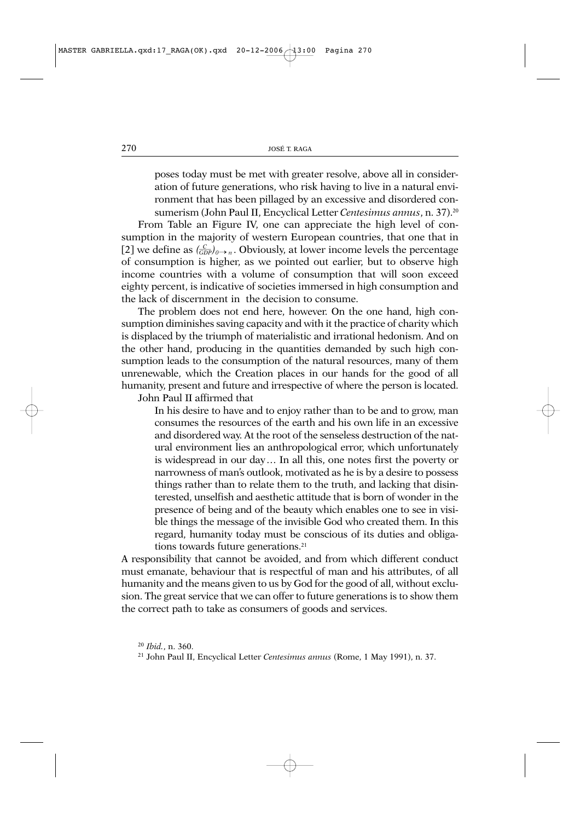poses today must be met with greater resolve, above all in consideration of future generations, who risk having to live in a natural environment that has been pillaged by an excessive and disordered consumerism (John Paul II, Encyclical Letter *Centesimus annus*, n. 37).20

From Table an Figure IV, one can appreciate the high level of consumption in the majority of western European countries, that one that in [2] we define as  $\left(\frac{C}{GDP}\right)_{0\to n}$ . Obviously, at lower income levels the percentage of consumption is higher, as we pointed out earlier, but to observe high income countries with a volume of consumption that will soon exceed eighty percent, is indicative of societies immersed in high consumption and the lack of discernment in the decision to consume.

The problem does not end here, however. On the one hand, high consumption diminishes saving capacity and with it the practice of charity which is displaced by the triumph of materialistic and irrational hedonism. And on the other hand, producing in the quantities demanded by such high consumption leads to the consumption of the natural resources, many of them unrenewable, which the Creation places in our hands for the good of all humanity, present and future and irrespective of where the person is located.

John Paul II affirmed that

In his desire to have and to enjoy rather than to be and to grow, man consumes the resources of the earth and his own life in an excessive and disordered way. At the root of the senseless destruction of the natural environment lies an anthropological error, which unfortunately is widespread in our day… In all this, one notes first the poverty or narrowness of man's outlook, motivated as he is by a desire to possess things rather than to relate them to the truth, and lacking that disinterested, unselfish and aesthetic attitude that is born of wonder in the presence of being and of the beauty which enables one to see in visible things the message of the invisible God who created them. In this regard, humanity today must be conscious of its duties and obligations towards future generations.<sup>21</sup>

A responsibility that cannot be avoided, and from which different conduct must emanate, behaviour that is respectful of man and his attributes, of all humanity and the means given to us by God for the good of all, without exclusion. The great service that we can offer to future generations is to show them the correct path to take as consumers of goods and services.

<sup>20</sup> *Ibid.*, n. 360.

<sup>21</sup> John Paul II, Encyclical Letter *Centesimus annus* (Rome, 1 May 1991), n. 37.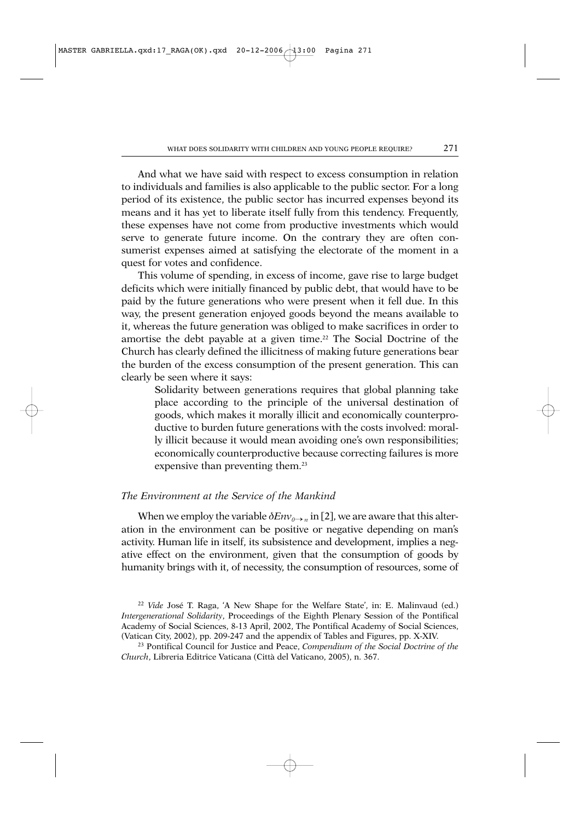And what we have said with respect to excess consumption in relation to individuals and families is also applicable to the public sector. For a long period of its existence, the public sector has incurred expenses beyond its means and it has yet to liberate itself fully from this tendency. Frequently, these expenses have not come from productive investments which would serve to generate future income. On the contrary they are often consumerist expenses aimed at satisfying the electorate of the moment in a quest for votes and confidence.

This volume of spending, in excess of income, gave rise to large budget deficits which were initially financed by public debt, that would have to be paid by the future generations who were present when it fell due. In this way, the present generation enjoyed goods beyond the means available to it, whereas the future generation was obliged to make sacrifices in order to amortise the debt payable at a given time.<sup>22</sup> The Social Doctrine of the Church has clearly defined the illicitness of making future generations bear the burden of the excess consumption of the present generation. This can clearly be seen where it says:

Solidarity between generations requires that global planning take place according to the principle of the universal destination of goods, which makes it morally illicit and economically counterproductive to burden future generations with the costs involved: morally illicit because it would mean avoiding one's own responsibilities; economically counterproductive because correcting failures is more expensive than preventing them.23

## *The Environment at the Service of the Mankind*

When we employ the variable  $\delta Env_{0\rightarrow n}$  in [2], we are aware that this alteration in the environment can be positive or negative depending on man's activity. Human life in itself, its subsistence and development, implies a negative effect on the environment, given that the consumption of goods by humanity brings with it, of necessity, the consumption of resources, some of

<sup>22</sup> *Vide* José T. Raga, 'A New Shape for the Welfare State', in: E. Malinvaud (ed.) *Intergenerational Solidarity*, Proceedings of the Eighth Plenary Session of the Pontifical Academy of Social Sciences, 8-13 April, 2002, The Pontifical Academy of Social Sciences, (Vatican City, 2002), pp. 209-247 and the appendix of Tables and Figures, pp. X-XIV.

<sup>23</sup> Pontifical Council for Justice and Peace, *Compendium of the Social Doctrine of the Church*, Libreria Editrice Vaticana (Città del Vaticano, 2005), n. 367.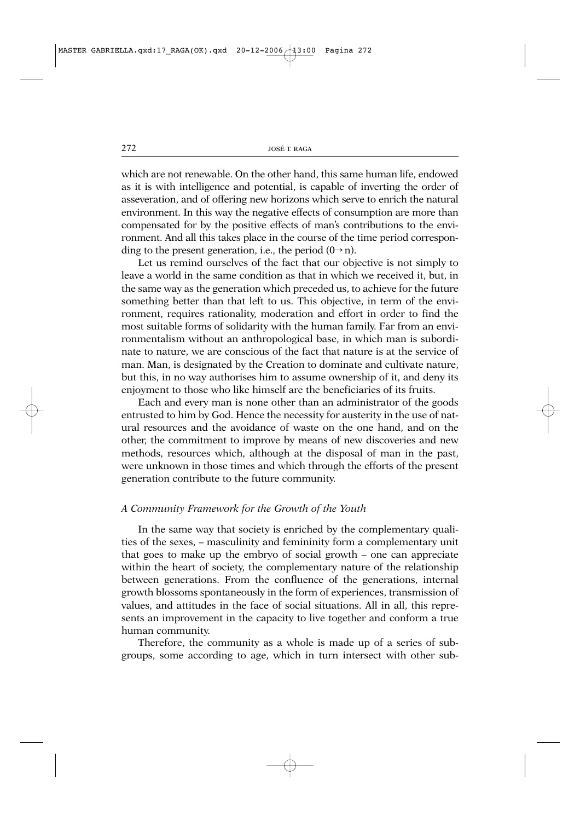which are not renewable. On the other hand, this same human life, endowed as it is with intelligence and potential, is capable of inverting the order of asseveration, and of offering new horizons which serve to enrich the natural environment. In this way the negative effects of consumption are more than compensated for by the positive effects of man's contributions to the environment. And all this takes place in the course of the time period corresponding to the present generation, i.e., the period  $(0 \rightarrow n)$ .

Let us remind ourselves of the fact that our objective is not simply to leave a world in the same condition as that in which we received it, but, in the same way as the generation which preceded us, to achieve for the future something better than that left to us. This objective, in term of the environment, requires rationality, moderation and effort in order to find the most suitable forms of solidarity with the human family. Far from an environmentalism without an anthropological base, in which man is subordinate to nature, we are conscious of the fact that nature is at the service of man. Man, is designated by the Creation to dominate and cultivate nature, but this, in no way authorises him to assume ownership of it, and deny its enjoyment to those who like himself are the beneficiaries of its fruits.

Each and every man is none other than an administrator of the goods entrusted to him by God. Hence the necessity for austerity in the use of natural resources and the avoidance of waste on the one hand, and on the other, the commitment to improve by means of new discoveries and new methods, resources which, although at the disposal of man in the past, were unknown in those times and which through the efforts of the present generation contribute to the future community.

#### *A Community Framework for the Growth of the Youth*

In the same way that society is enriched by the complementary qualities of the sexes, – masculinity and femininity form a complementary unit that goes to make up the embryo of social growth – one can appreciate within the heart of society, the complementary nature of the relationship between generations. From the confluence of the generations, internal growth blossoms spontaneously in the form of experiences, transmission of values, and attitudes in the face of social situations. All in all, this represents an improvement in the capacity to live together and conform a true human community.

Therefore, the community as a whole is made up of a series of subgroups, some according to age, which in turn intersect with other sub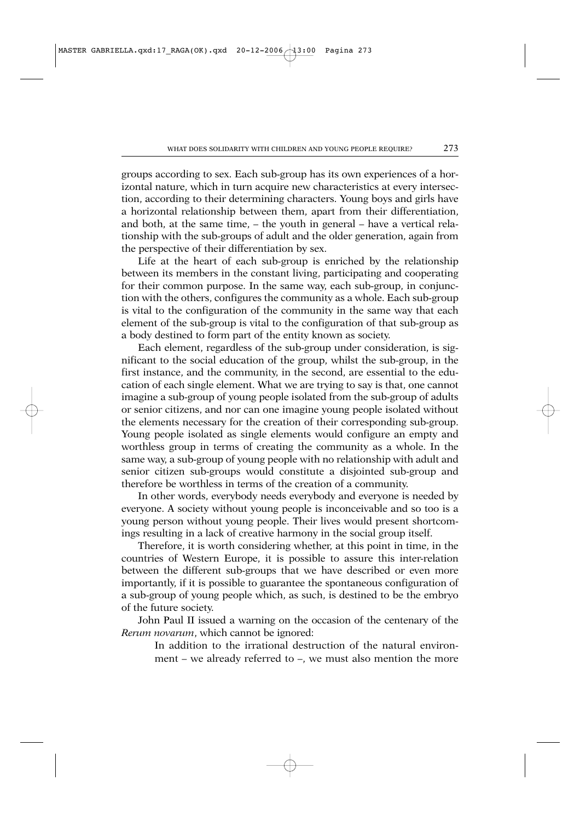groups according to sex. Each sub-group has its own experiences of a horizontal nature, which in turn acquire new characteristics at every intersection, according to their determining characters. Young boys and girls have a horizontal relationship between them, apart from their differentiation, and both, at the same time, – the youth in general – have a vertical relationship with the sub-groups of adult and the older generation, again from the perspective of their differentiation by sex.

Life at the heart of each sub-group is enriched by the relationship between its members in the constant living, participating and cooperating for their common purpose. In the same way, each sub-group, in conjunction with the others, configures the community as a whole. Each sub-group is vital to the configuration of the community in the same way that each element of the sub-group is vital to the configuration of that sub-group as a body destined to form part of the entity known as society.

Each element, regardless of the sub-group under consideration, is significant to the social education of the group, whilst the sub-group, in the first instance, and the community, in the second, are essential to the education of each single element. What we are trying to say is that, one cannot imagine a sub-group of young people isolated from the sub-group of adults or senior citizens, and nor can one imagine young people isolated without the elements necessary for the creation of their corresponding sub-group. Young people isolated as single elements would configure an empty and worthless group in terms of creating the community as a whole. In the same way, a sub-group of young people with no relationship with adult and senior citizen sub-groups would constitute a disjointed sub-group and therefore be worthless in terms of the creation of a community.

In other words, everybody needs everybody and everyone is needed by everyone. A society without young people is inconceivable and so too is a young person without young people. Their lives would present shortcomings resulting in a lack of creative harmony in the social group itself.

Therefore, it is worth considering whether, at this point in time, in the countries of Western Europe, it is possible to assure this inter-relation between the different sub-groups that we have described or even more importantly, if it is possible to guarantee the spontaneous configuration of a sub-group of young people which, as such, is destined to be the embryo of the future society.

John Paul II issued a warning on the occasion of the centenary of the *Rerum novarum*, which cannot be ignored:

In addition to the irrational destruction of the natural environment – we already referred to –, we must also mention the more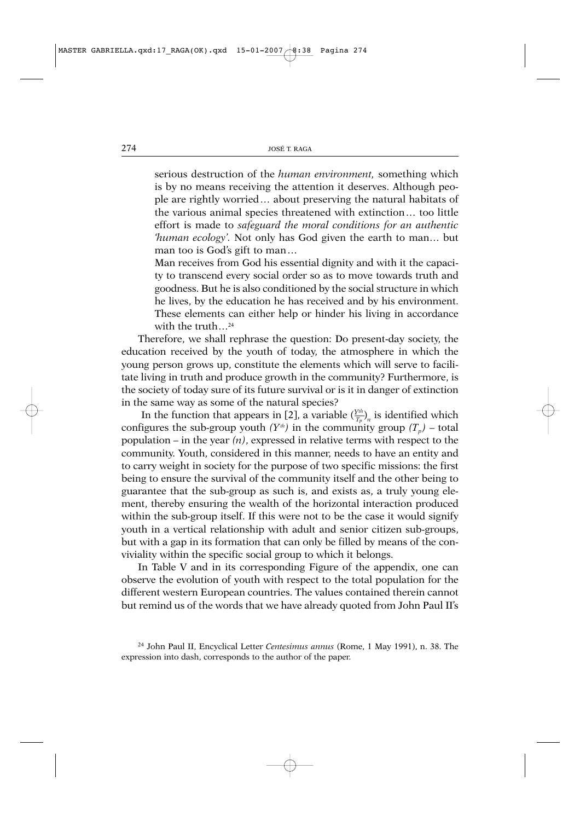serious destruction of the *human environment,* something which is by no means receiving the attention it deserves. Although people are rightly worried… about preserving the natural habitats of the various animal species threatened with extinction… too little effort is made to *safeguard the moral conditions for an authentic 'human ecology'.* Not only has God given the earth to man… but man too is God's gift to man…

Man receives from God his essential dignity and with it the capacity to transcend every social order so as to move towards truth and goodness. But he is also conditioned by the social structure in which he lives, by the education he has received and by his environment. These elements can either help or hinder his living in accordance with the truth…24

Therefore, we shall rephrase the question: Do present-day society, the education received by the youth of today, the atmosphere in which the young person grows up, constitute the elements which will serve to facilitate living in truth and produce growth in the community? Furthermore, is the society of today sure of its future survival or is it in danger of extinction in the same way as some of the natural species?

In the function that appears in [2], a variable  $(\frac{Y^{th}}{T_p})_n$  is identified which configures the sub-group youth  $(Y<sup>th</sup>)$  in the community group  $(T_p)$  – total population – in the year  $(n)$ , expressed in relative terms with respect to the community. Youth, considered in this manner, needs to have an entity and to carry weight in society for the purpose of two specific missions: the first being to ensure the survival of the community itself and the other being to guarantee that the sub-group as such is, and exists as, a truly young element, thereby ensuring the wealth of the horizontal interaction produced within the sub-group itself. If this were not to be the case it would signify youth in a vertical relationship with adult and senior citizen sub-groups, but with a gap in its formation that can only be filled by means of the conviviality within the specific social group to which it belongs.

In Table V and in its corresponding Figure of the appendix, one can observe the evolution of youth with respect to the total population for the different western European countries. The values contained therein cannot but remind us of the words that we have already quoted from John Paul II's

<sup>24</sup> John Paul II, Encyclical Letter *Centesimus annus* (Rome, 1 May 1991), n. 38. The expression into dash, corresponds to the author of the paper.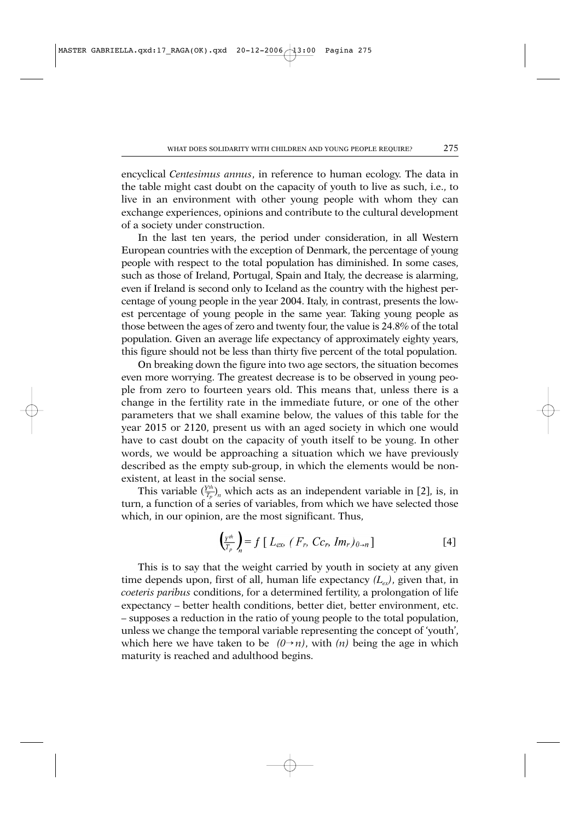encyclical *Centesimus annus*, in reference to human ecology. The data in the table might cast doubt on the capacity of youth to live as such, i.e., to live in an environment with other young people with whom they can exchange experiences, opinions and contribute to the cultural development of a society under construction.

In the last ten years, the period under consideration, in all Western European countries with the exception of Denmark, the percentage of young people with respect to the total population has diminished. In some cases, such as those of Ireland, Portugal, Spain and Italy, the decrease is alarming, even if Ireland is second only to Iceland as the country with the highest percentage of young people in the year 2004. Italy, in contrast, presents the lowest percentage of young people in the same year. Taking young people as those between the ages of zero and twenty four, the value is 24.8% of the total population. Given an average life expectancy of approximately eighty years, this figure should not be less than thirty five percent of the total population.

On breaking down the figure into two age sectors, the situation becomes even more worrying. The greatest decrease is to be observed in young people from zero to fourteen years old. This means that, unless there is a change in the fertility rate in the immediate future, or one of the other parameters that we shall examine below, the values of this table for the year 2015 or 2120, present us with an aged society in which one would have to cast doubt on the capacity of youth itself to be young. In other words, we would be approaching a situation which we have previously described as the empty sub-group, in which the elements would be nonexistent, at least in the social sense.

This variable  $(\frac{Y^{th}}{T_p})_n$  which acts as an independent variable in [2], is, in turn, a function of a series of variables, from which we have selected those which, in our opinion, are the most significant. Thus,

$$
\left(\frac{Y^{th}}{T_p}\right)_n = f\left[L_{ex}, \left(F_r, C_{c_r}, Im_r\right)_{\theta \to n}\right]
$$
 [4]

This is to say that the weight carried by youth in society at any given time depends upon, first of all, human life expectancy  $(L_{ex})$ , given that, in *coeteris paribus* conditions, for a determined fertility, a prolongation of life expectancy – better health conditions, better diet, better environment, etc. – supposes a reduction in the ratio of young people to the total population, unless we change the temporal variable representing the concept of 'youth', which here we have taken to be  $(0 \rightarrow n)$ , with  $(n)$  being the age in which maturity is reached and adulthood begins.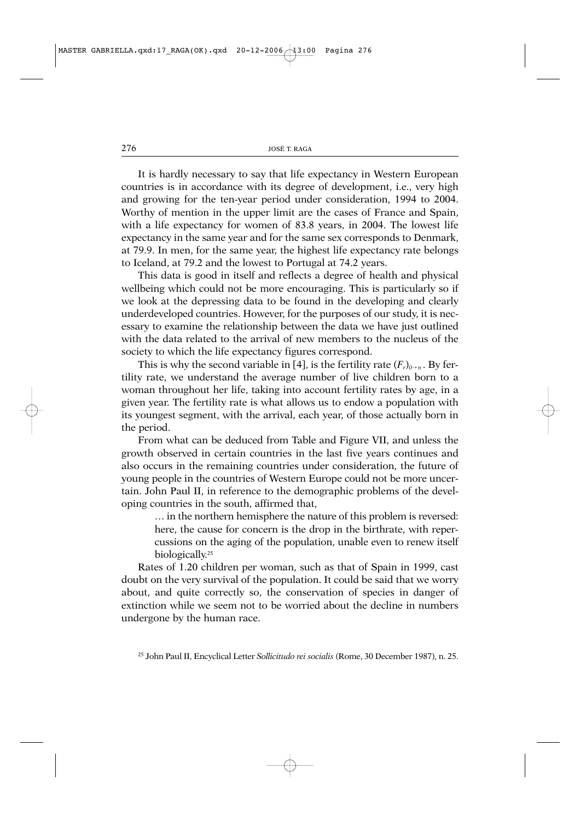It is hardly necessary to say that life expectancy in Western European countries is in accordance with its degree of development, i.e., very high and growing for the ten-year period under consideration, 1994 to 2004. Worthy of mention in the upper limit are the cases of France and Spain, with a life expectancy for women of 83.8 years, in 2004. The lowest life expectancy in the same year and for the same sex corresponds to Denmark, at 79.9. In men, for the same year, the highest life expectancy rate belongs to Iceland, at 79.2 and the lowest to Portugal at 74.2 years.

This data is good in itself and reflects a degree of health and physical wellbeing which could not be more encouraging. This is particularly so if we look at the depressing data to be found in the developing and clearly underdeveloped countries. However, for the purposes of our study, it is necessary to examine the relationship between the data we have just outlined with the data related to the arrival of new members to the nucleus of the society to which the life expectancy figures correspond.

This is why the second variable in [4], is the fertility rate  $(F_r)_{0\to r}$ . By fertility rate, we understand the average number of live children born to a woman throughout her life, taking into account fertility rates by age, in a given year. The fertility rate is what allows us to endow a population with its youngest segment, with the arrival, each year, of those actually born in the period.

From what can be deduced from Table and Figure VII, and unless the growth observed in certain countries in the last five years continues and also occurs in the remaining countries under consideration, the future of young people in the countries of Western Europe could not be more uncertain. John Paul II, in reference to the demographic problems of the developing countries in the south, affirmed that,

… in the northern hemisphere the nature of this problem is reversed: here, the cause for concern is the drop in the birthrate, with repercussions on the aging of the population, unable even to renew itself biologically.25

Rates of 1.20 children per woman, such as that of Spain in 1999, cast doubt on the very survival of the population. It could be said that we worry about, and quite correctly so, the conservation of species in danger of extinction while we seem not to be worried about the decline in numbers undergone by the human race.

<sup>25</sup> John Paul II, Encyclical Letter *Sollicitudo rei socialis* (Rome, 30 December 1987), n. 25.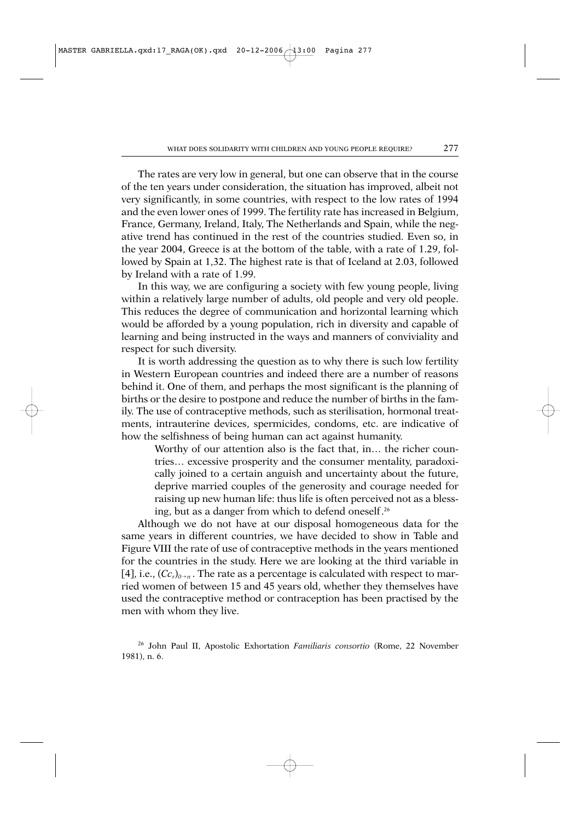The rates are very low in general, but one can observe that in the course of the ten years under consideration, the situation has improved, albeit not very significantly, in some countries, with respect to the low rates of 1994 and the even lower ones of 1999. The fertility rate has increased in Belgium, France, Germany, Ireland, Italy, The Netherlands and Spain, while the negative trend has continued in the rest of the countries studied. Even so, in the year 2004, Greece is at the bottom of the table, with a rate of 1.29, followed by Spain at 1,32. The highest rate is that of Iceland at 2.03, followed by Ireland with a rate of 1.99.

In this way, we are configuring a society with few young people, living within a relatively large number of adults, old people and very old people. This reduces the degree of communication and horizontal learning which would be afforded by a young population, rich in diversity and capable of learning and being instructed in the ways and manners of conviviality and respect for such diversity.

It is worth addressing the question as to why there is such low fertility in Western European countries and indeed there are a number of reasons behind it. One of them, and perhaps the most significant is the planning of births or the desire to postpone and reduce the number of births in the family. The use of contraceptive methods, such as sterilisation, hormonal treatments, intrauterine devices, spermicides, condoms, etc. are indicative of how the selfishness of being human can act against humanity.

Worthy of our attention also is the fact that, in… the richer countries… excessive prosperity and the consumer mentality, paradoxically joined to a certain anguish and uncertainty about the future, deprive married couples of the generosity and courage needed for raising up new human life: thus life is often perceived not as a blessing, but as a danger from which to defend oneself.26

Although we do not have at our disposal homogeneous data for the same years in different countries, we have decided to show in Table and Figure VIII the rate of use of contraceptive methods in the years mentioned for the countries in the study. Here we are looking at the third variable in [4], i.e.,  $(Cc_r)_{0\rightarrow n}$ . The rate as a percentage is calculated with respect to married women of between 15 and 45 years old, whether they themselves have used the contraceptive method or contraception has been practised by the men with whom they live.

<sup>26</sup> John Paul II, Apostolic Exhortation *Familiaris consortio* (Rome, 22 November 1981), n. 6.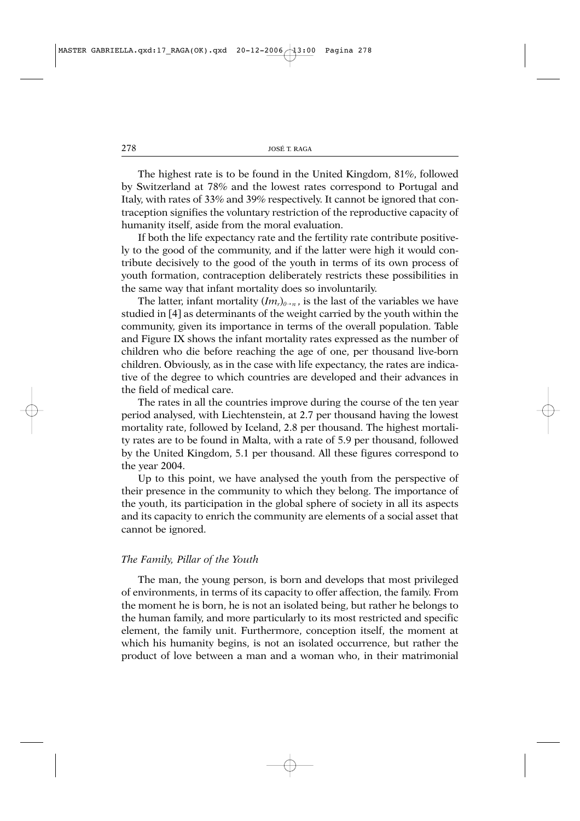The highest rate is to be found in the United Kingdom, 81%, followed by Switzerland at 78% and the lowest rates correspond to Portugal and Italy, with rates of 33% and 39% respectively. It cannot be ignored that contraception signifies the voluntary restriction of the reproductive capacity of humanity itself, aside from the moral evaluation.

If both the life expectancy rate and the fertility rate contribute positively to the good of the community, and if the latter were high it would contribute decisively to the good of the youth in terms of its own process of youth formation, contraception deliberately restricts these possibilities in the same way that infant mortality does so involuntarily.

The latter, infant mortality  $(Im<sub>r</sub>)_{0\rightarrow n}$ , is the last of the variables we have studied in [4] as determinants of the weight carried by the youth within the community, given its importance in terms of the overall population. Table and Figure IX shows the infant mortality rates expressed as the number of children who die before reaching the age of one, per thousand live-born children. Obviously, as in the case with life expectancy, the rates are indicative of the degree to which countries are developed and their advances in the field of medical care.

The rates in all the countries improve during the course of the ten year period analysed, with Liechtenstein, at 2.7 per thousand having the lowest mortality rate, followed by Iceland, 2.8 per thousand. The highest mortality rates are to be found in Malta, with a rate of 5.9 per thousand, followed by the United Kingdom, 5.1 per thousand. All these figures correspond to the year 2004.

Up to this point, we have analysed the youth from the perspective of their presence in the community to which they belong. The importance of the youth, its participation in the global sphere of society in all its aspects and its capacity to enrich the community are elements of a social asset that cannot be ignored.

## *The Family, Pillar of the Youth*

The man, the young person, is born and develops that most privileged of environments, in terms of its capacity to offer affection, the family. From the moment he is born, he is not an isolated being, but rather he belongs to the human family, and more particularly to its most restricted and specific element, the family unit. Furthermore, conception itself, the moment at which his humanity begins, is not an isolated occurrence, but rather the product of love between a man and a woman who, in their matrimonial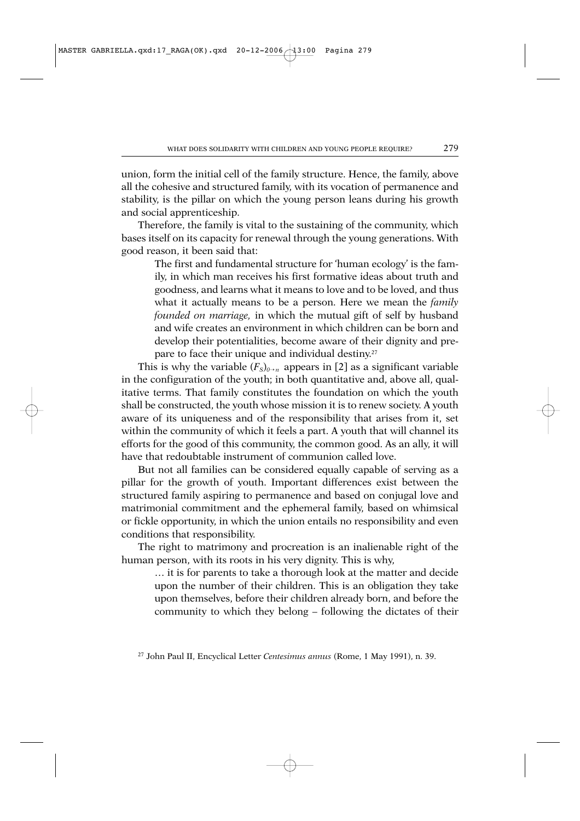union, form the initial cell of the family structure. Hence, the family, above all the cohesive and structured family, with its vocation of permanence and stability, is the pillar on which the young person leans during his growth and social apprenticeship.

Therefore, the family is vital to the sustaining of the community, which bases itself on its capacity for renewal through the young generations. With good reason, it been said that:

The first and fundamental structure for 'human ecology' is the family, in which man receives his first formative ideas about truth and goodness, and learns what it means to love and to be loved, and thus what it actually means to be a person. Here we mean the *family founded on marriage,* in which the mutual gift of self by husband and wife creates an environment in which children can be born and develop their potentialities, become aware of their dignity and prepare to face their unique and individual destiny.<sup>27</sup>

This is why the variable  $(F_s)_{0\rightarrow n}$  appears in [2] as a significant variable in the configuration of the youth; in both quantitative and, above all, qualitative terms. That family constitutes the foundation on which the youth shall be constructed, the youth whose mission it is to renew society. A youth aware of its uniqueness and of the responsibility that arises from it, set within the community of which it feels a part. A youth that will channel its efforts for the good of this community, the common good. As an ally, it will have that redoubtable instrument of communion called love.

But not all families can be considered equally capable of serving as a pillar for the growth of youth. Important differences exist between the structured family aspiring to permanence and based on conjugal love and matrimonial commitment and the ephemeral family, based on whimsical or fickle opportunity, in which the union entails no responsibility and even conditions that responsibility.

The right to matrimony and procreation is an inalienable right of the human person, with its roots in his very dignity. This is why,

… it is for parents to take a thorough look at the matter and decide upon the number of their children. This is an obligation they take upon themselves, before their children already born, and before the community to which they belong – following the dictates of their

<sup>27</sup> John Paul II, Encyclical Letter *Centesimus annus* (Rome, 1 May 1991), n. 39.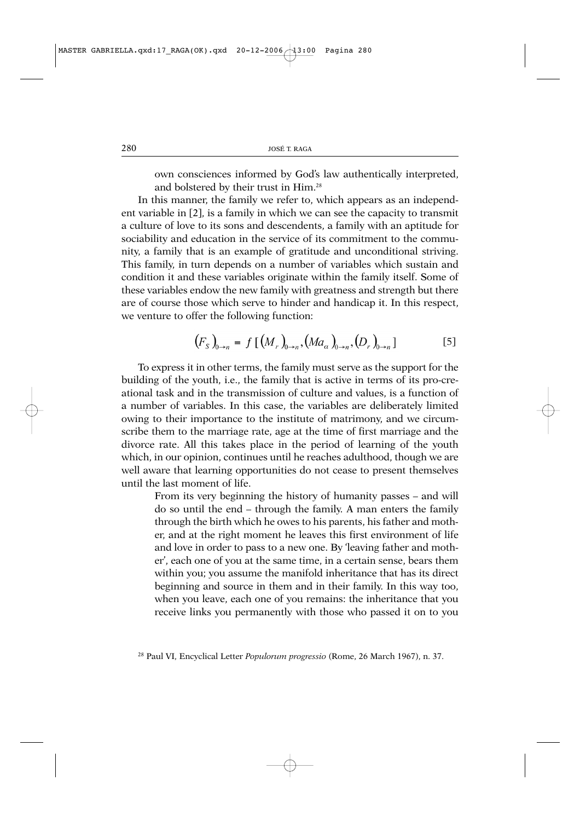own consciences informed by God's law authentically interpreted, and bolstered by their trust in Him.28

In this manner, the family we refer to, which appears as an independent variable in [2], is a family in which we can see the capacity to transmit a culture of love to its sons and descendents, a family with an aptitude for sociability and education in the service of its commitment to the community, a family that is an example of gratitude and unconditional striving. This family, in turn depends on a number of variables which sustain and condition it and these variables originate within the family itself. Some of these variables endow the new family with greatness and strength but there are of course those which serve to hinder and handicap it. In this respect, we venture to offer the following function:

$$
(F_S)_{0 \to n} = f [(M_r)_{0 \to n}, (Ma_\alpha)_{0 \to n}, (D_r)_{0 \to n}]
$$
 [5]

To express it in other terms, the family must serve as the support for the building of the youth, i.e., the family that is active in terms of its pro-creational task and in the transmission of culture and values, is a function of a number of variables. In this case, the variables are deliberately limited owing to their importance to the institute of matrimony, and we circumscribe them to the marriage rate, age at the time of first marriage and the divorce rate. All this takes place in the period of learning of the youth which, in our opinion, continues until he reaches adulthood, though we are well aware that learning opportunities do not cease to present themselves until the last moment of life.

From its very beginning the history of humanity passes – and will do so until the end – through the family. A man enters the family through the birth which he owes to his parents, his father and mother, and at the right moment he leaves this first environment of life and love in order to pass to a new one. By 'leaving father and mother', each one of you at the same time, in a certain sense, bears them within you; you assume the manifold inheritance that has its direct beginning and source in them and in their family. In this way too, when you leave, each one of you remains: the inheritance that you receive links you permanently with those who passed it on to you

<sup>28</sup> Paul VI, Encyclical Letter *Populorum progressio* (Rome, 26 March 1967), n. 37.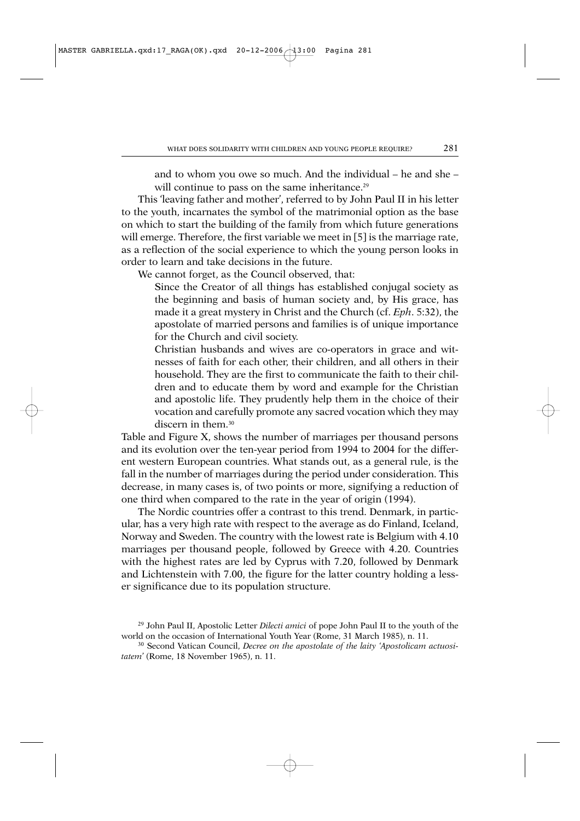and to whom you owe so much. And the individual – he and she – will continue to pass on the same inheritance.<sup>29</sup>

This 'leaving father and mother', referred to by John Paul II in his letter to the youth, incarnates the symbol of the matrimonial option as the base on which to start the building of the family from which future generations will emerge. Therefore, the first variable we meet in [5] is the marriage rate, as a reflection of the social experience to which the young person looks in order to learn and take decisions in the future.

We cannot forget, as the Council observed, that:

Since the Creator of all things has established conjugal society as the beginning and basis of human society and, by His grace, has made it a great mystery in Christ and the Church (cf. *Eph*. 5:32), the apostolate of married persons and families is of unique importance for the Church and civil society.

Christian husbands and wives are co-operators in grace and witnesses of faith for each other, their children, and all others in their household. They are the first to communicate the faith to their children and to educate them by word and example for the Christian and apostolic life. They prudently help them in the choice of their vocation and carefully promote any sacred vocation which they may discern in them.<sup>30</sup>

Table and Figure X, shows the number of marriages per thousand persons and its evolution over the ten-year period from 1994 to 2004 for the different western European countries. What stands out, as a general rule, is the fall in the number of marriages during the period under consideration. This decrease, in many cases is, of two points or more, signifying a reduction of one third when compared to the rate in the year of origin (1994).

The Nordic countries offer a contrast to this trend. Denmark, in particular, has a very high rate with respect to the average as do Finland, Iceland, Norway and Sweden. The country with the lowest rate is Belgium with 4.10 marriages per thousand people, followed by Greece with 4.20. Countries with the highest rates are led by Cyprus with 7.20, followed by Denmark and Lichtenstein with 7.00, the figure for the latter country holding a lesser significance due to its population structure.

<sup>29</sup> John Paul II, Apostolic Letter *Dilecti amici* of pope John Paul II to the youth of the world on the occasion of International Youth Year (Rome, 31 March 1985), n. 11.

<sup>30</sup> Second Vatican Council, *Decree on the apostolate of the laity 'Apostolicam actuositatem*' (Rome, 18 November 1965), n. 11.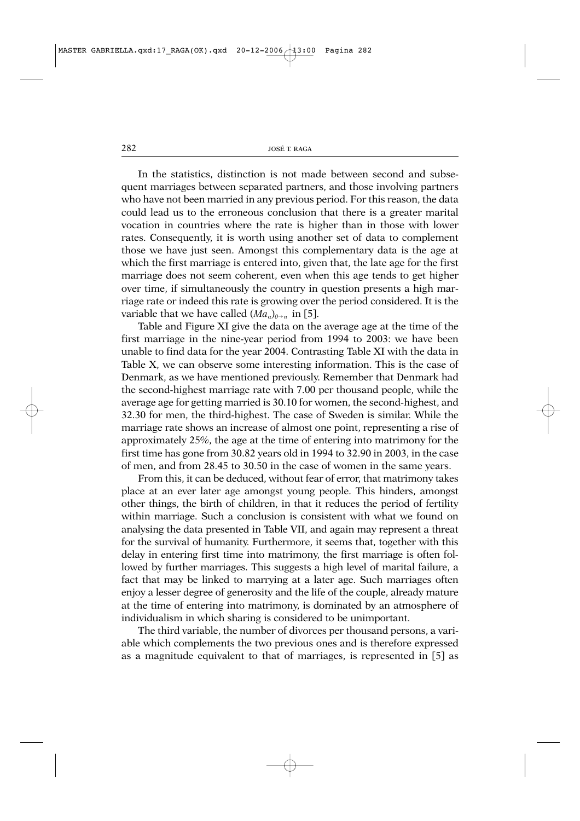In the statistics, distinction is not made between second and subsequent marriages between separated partners, and those involving partners who have not been married in any previous period. For this reason, the data could lead us to the erroneous conclusion that there is a greater marital vocation in countries where the rate is higher than in those with lower rates. Consequently, it is worth using another set of data to complement those we have just seen. Amongst this complementary data is the age at which the first marriage is entered into, given that, the late age for the first marriage does not seem coherent, even when this age tends to get higher over time, if simultaneously the country in question presents a high marriage rate or indeed this rate is growing over the period considered. It is the variable that we have called  $(Ma_a)_{a\rightarrow n}$  in [5].

Table and Figure XI give the data on the average age at the time of the first marriage in the nine-year period from 1994 to 2003: we have been unable to find data for the year 2004. Contrasting Table XI with the data in Table X, we can observe some interesting information. This is the case of Denmark, as we have mentioned previously. Remember that Denmark had the second-highest marriage rate with 7.00 per thousand people, while the average age for getting married is 30.10 for women, the second-highest, and 32.30 for men, the third-highest. The case of Sweden is similar. While the marriage rate shows an increase of almost one point, representing a rise of approximately 25%, the age at the time of entering into matrimony for the first time has gone from 30.82 years old in 1994 to 32.90 in 2003, in the case of men, and from 28.45 to 30.50 in the case of women in the same years.

From this, it can be deduced, without fear of error, that matrimony takes place at an ever later age amongst young people. This hinders, amongst other things, the birth of children, in that it reduces the period of fertility within marriage. Such a conclusion is consistent with what we found on analysing the data presented in Table VII, and again may represent a threat for the survival of humanity. Furthermore, it seems that, together with this delay in entering first time into matrimony, the first marriage is often followed by further marriages. This suggests a high level of marital failure, a fact that may be linked to marrying at a later age. Such marriages often enjoy a lesser degree of generosity and the life of the couple, already mature at the time of entering into matrimony, is dominated by an atmosphere of individualism in which sharing is considered to be unimportant.

The third variable, the number of divorces per thousand persons, a variable which complements the two previous ones and is therefore expressed as a magnitude equivalent to that of marriages, is represented in [5] as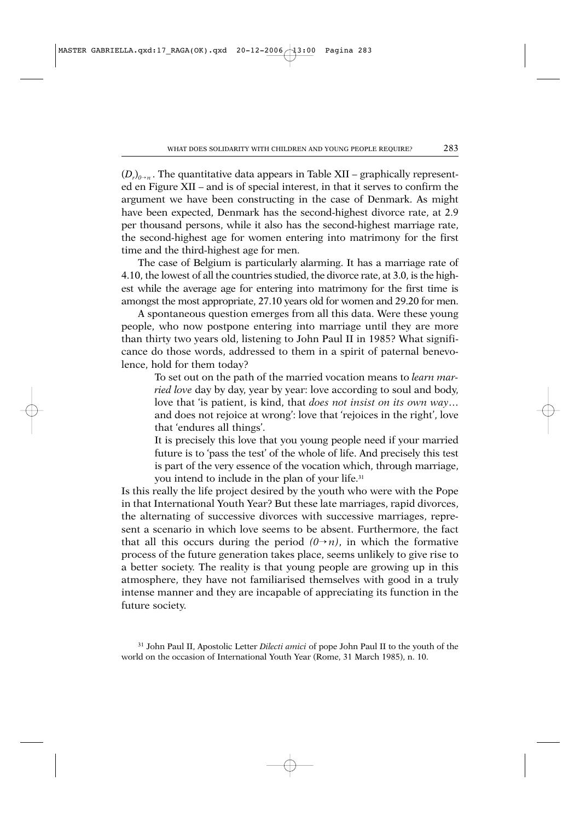$(D<sub>r</sub>)<sub>0+r</sub>$ . The quantitative data appears in Table XII – graphically represented en Figure XII – and is of special interest, in that it serves to confirm the argument we have been constructing in the case of Denmark. As might have been expected, Denmark has the second-highest divorce rate, at 2.9 per thousand persons, while it also has the second-highest marriage rate, the second-highest age for women entering into matrimony for the first time and the third-highest age for men.

The case of Belgium is particularly alarming. It has a marriage rate of 4.10, the lowest of all the countries studied, the divorce rate, at 3.0, is the highest while the average age for entering into matrimony for the first time is amongst the most appropriate, 27.10 years old for women and 29.20 for men.

A spontaneous question emerges from all this data. Were these young people, who now postpone entering into marriage until they are more than thirty two years old, listening to John Paul II in 1985? What significance do those words, addressed to them in a spirit of paternal benevolence, hold for them today?

To set out on the path of the married vocation means to *learn married love* day by day, year by year: love according to soul and body, love that 'is patient, is kind, that *does not insist on its own way*… and does not rejoice at wrong': love that 'rejoices in the right', love that 'endures all things'.

It is precisely this love that you young people need if your married future is to 'pass the test' of the whole of life. And precisely this test is part of the very essence of the vocation which, through marriage, you intend to include in the plan of your life.31

Is this really the life project desired by the youth who were with the Pope in that International Youth Year? But these late marriages, rapid divorces, the alternating of successive divorces with successive marriages, represent a scenario in which love seems to be absent. Furthermore, the fact that all this occurs during the period  $(0 \rightarrow n)$ , in which the formative process of the future generation takes place, seems unlikely to give rise to a better society. The reality is that young people are growing up in this atmosphere, they have not familiarised themselves with good in a truly intense manner and they are incapable of appreciating its function in the future society.

<sup>31</sup> John Paul II, Apostolic Letter *Dilecti amici* of pope John Paul II to the youth of the world on the occasion of International Youth Year (Rome, 31 March 1985), n. 10.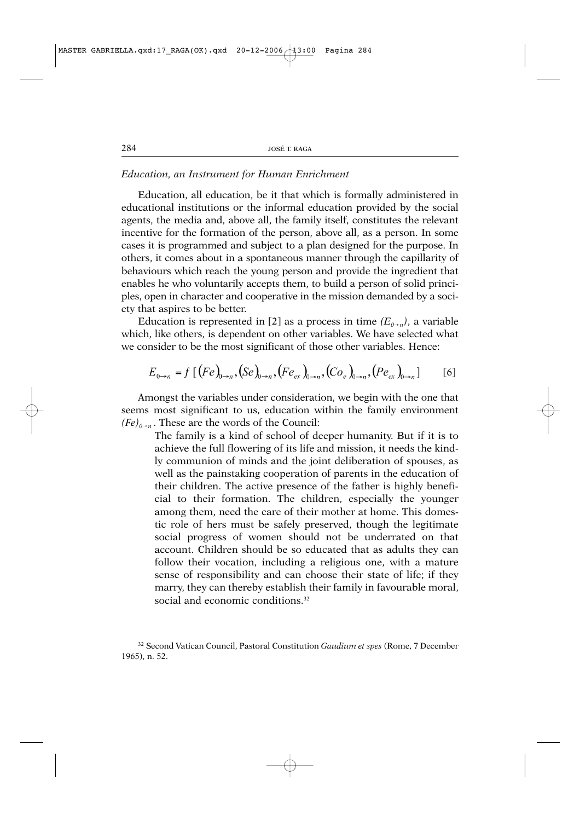# *Education, an Instrument for Human Enrichment*

Education, all education, be it that which is formally administered in educational institutions or the informal education provided by the social agents, the media and, above all, the family itself, constitutes the relevant incentive for the formation of the person, above all, as a person. In some cases it is programmed and subject to a plan designed for the purpose. In others, it comes about in a spontaneous manner through the capillarity of behaviours which reach the young person and provide the ingredient that enables he who voluntarily accepts them, to build a person of solid principles, open in character and cooperative in the mission demanded by a society that aspires to be better.

Education is represented in [2] as a process in time  $(E_{0\rightarrow n})$ , a variable which, like others, is dependent on other variables. We have selected what we consider to be the most significant of those other variables. Hence:

$$
E_{0\to n} = f\left[\left(Fe\right)_{0\to n}, \left(Se\right)_{0\to n}, \left(Fe_{ex}\right)_{0\to n}, \left(Co_{e}\right)_{0\to n}, \left(Pe_{ex}\right)_{0\to n}\right] \tag{6}
$$

Amongst the variables under consideration, we begin with the one that seems most significant to us, education within the family environment  $(Fe)_{0\rightarrow n}$ . These are the words of the Council:

The family is a kind of school of deeper humanity. But if it is to achieve the full flowering of its life and mission, it needs the kindly communion of minds and the joint deliberation of spouses, as well as the painstaking cooperation of parents in the education of their children. The active presence of the father is highly beneficial to their formation. The children, especially the younger among them, need the care of their mother at home. This domestic role of hers must be safely preserved, though the legitimate social progress of women should not be underrated on that account. Children should be so educated that as adults they can follow their vocation, including a religious one, with a mature sense of responsibility and can choose their state of life; if they marry, they can thereby establish their family in favourable moral, social and economic conditions.<sup>32</sup>

<sup>32</sup> Second Vatican Council, Pastoral Constitution *Gaudium et spes* (Rome, 7 December 1965), n. 52.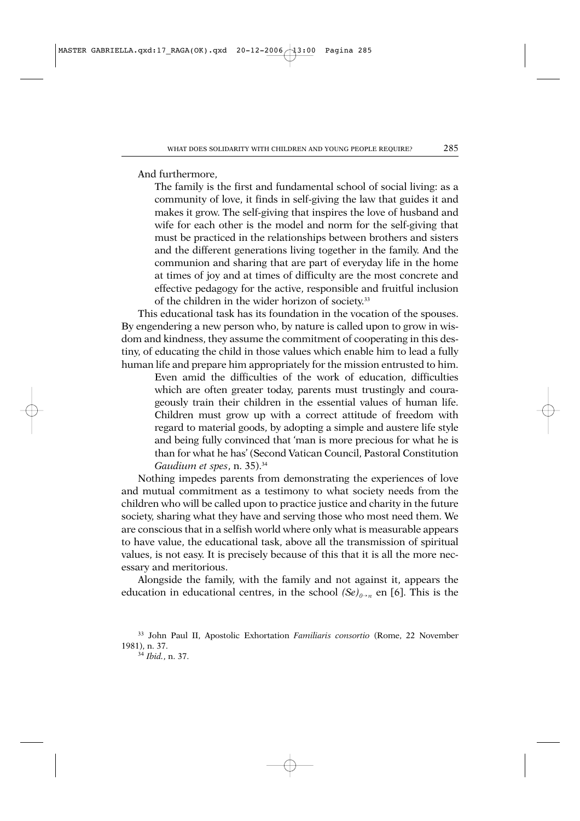And furthermore,

The family is the first and fundamental school of social living: as a community of love, it finds in self-giving the law that guides it and makes it grow. The self-giving that inspires the love of husband and wife for each other is the model and norm for the self-giving that must be practiced in the relationships between brothers and sisters and the different generations living together in the family. And the communion and sharing that are part of everyday life in the home at times of joy and at times of difficulty are the most concrete and effective pedagogy for the active, responsible and fruitful inclusion of the children in the wider horizon of society.33

This educational task has its foundation in the vocation of the spouses. By engendering a new person who, by nature is called upon to grow in wisdom and kindness, they assume the commitment of cooperating in this destiny, of educating the child in those values which enable him to lead a fully human life and prepare him appropriately for the mission entrusted to him.

Even amid the difficulties of the work of education, difficulties which are often greater today, parents must trustingly and courageously train their children in the essential values of human life. Children must grow up with a correct attitude of freedom with regard to material goods, by adopting a simple and austere life style and being fully convinced that 'man is more precious for what he is than for what he has' (Second Vatican Council, Pastoral Constitution *Gaudium et spes*, n. 35).34

Nothing impedes parents from demonstrating the experiences of love and mutual commitment as a testimony to what society needs from the children who will be called upon to practice justice and charity in the future society, sharing what they have and serving those who most need them. We are conscious that in a selfish world where only what is measurable appears to have value, the educational task, above all the transmission of spiritual values, is not easy. It is precisely because of this that it is all the more necessary and meritorious.

Alongside the family, with the family and not against it, appears the education in educational centres, in the school  $(Se)_{0\rightarrow n}$  en [6]. This is the

<sup>33</sup> John Paul II, Apostolic Exhortation *Familiaris consortio* (Rome, 22 November 1981), n. 37.

<sup>34</sup> *Ibid.*, n. 37.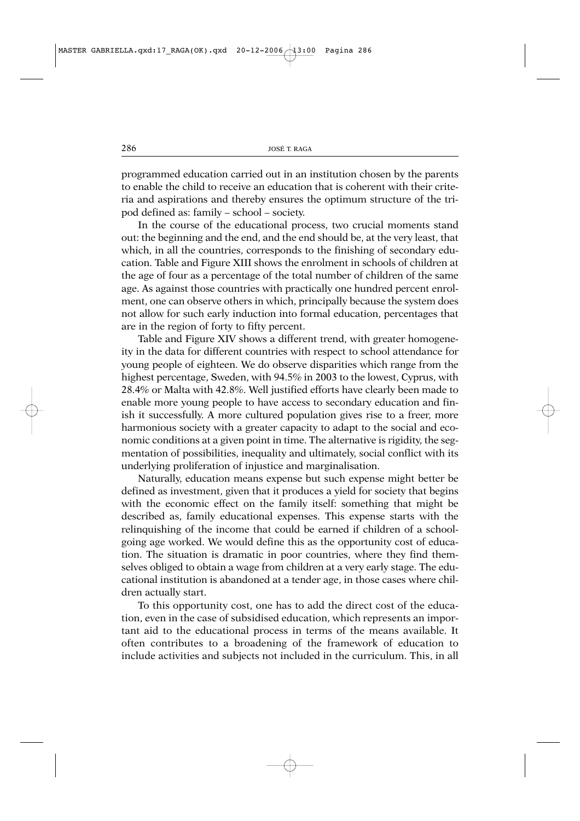programmed education carried out in an institution chosen by the parents to enable the child to receive an education that is coherent with their criteria and aspirations and thereby ensures the optimum structure of the tripod defined as: family – school – society.

In the course of the educational process, two crucial moments stand out: the beginning and the end, and the end should be, at the very least, that which, in all the countries, corresponds to the finishing of secondary education. Table and Figure XIII shows the enrolment in schools of children at the age of four as a percentage of the total number of children of the same age. As against those countries with practically one hundred percent enrolment, one can observe others in which, principally because the system does not allow for such early induction into formal education, percentages that are in the region of forty to fifty percent.

Table and Figure XIV shows a different trend, with greater homogeneity in the data for different countries with respect to school attendance for young people of eighteen. We do observe disparities which range from the highest percentage, Sweden, with 94.5% in 2003 to the lowest, Cyprus, with 28.4% or Malta with 42.8%. Well justified efforts have clearly been made to enable more young people to have access to secondary education and finish it successfully. A more cultured population gives rise to a freer, more harmonious society with a greater capacity to adapt to the social and economic conditions at a given point in time. The alternative is rigidity, the segmentation of possibilities, inequality and ultimately, social conflict with its underlying proliferation of injustice and marginalisation.

Naturally, education means expense but such expense might better be defined as investment, given that it produces a yield for society that begins with the economic effect on the family itself: something that might be described as, family educational expenses. This expense starts with the relinquishing of the income that could be earned if children of a schoolgoing age worked. We would define this as the opportunity cost of education. The situation is dramatic in poor countries, where they find themselves obliged to obtain a wage from children at a very early stage. The educational institution is abandoned at a tender age, in those cases where children actually start.

To this opportunity cost, one has to add the direct cost of the education, even in the case of subsidised education, which represents an important aid to the educational process in terms of the means available. It often contributes to a broadening of the framework of education to include activities and subjects not included in the curriculum. This, in all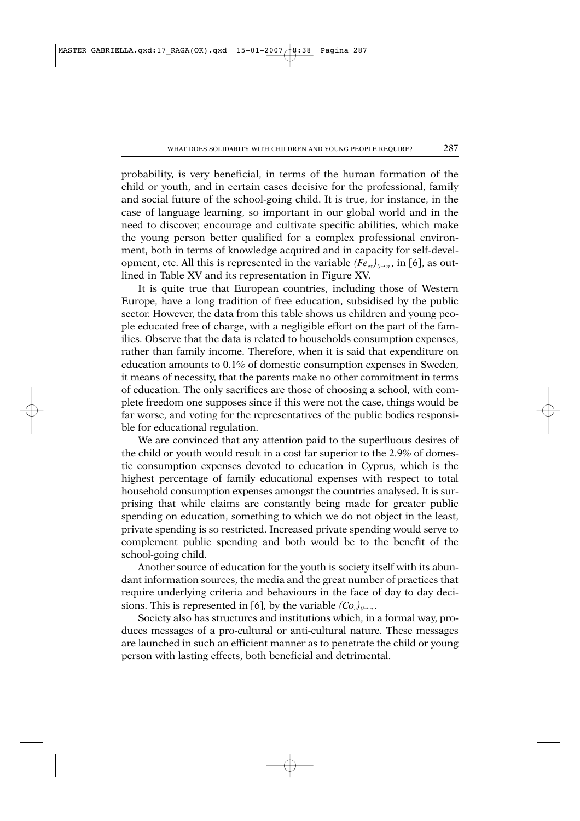probability, is very beneficial, in terms of the human formation of the child or youth, and in certain cases decisive for the professional, family and social future of the school-going child. It is true, for instance, in the case of language learning, so important in our global world and in the need to discover, encourage and cultivate specific abilities, which make the young person better qualified for a complex professional environment, both in terms of knowledge acquired and in capacity for self-development, etc. All this is represented in the variable  $(Fe_{av})_{0\to u}$ , in [6], as outlined in Table XV and its representation in Figure XV.

It is quite true that European countries, including those of Western Europe, have a long tradition of free education, subsidised by the public sector. However, the data from this table shows us children and young people educated free of charge, with a negligible effort on the part of the families. Observe that the data is related to households consumption expenses, rather than family income. Therefore, when it is said that expenditure on education amounts to 0.1% of domestic consumption expenses in Sweden, it means of necessity, that the parents make no other commitment in terms of education. The only sacrifices are those of choosing a school, with complete freedom one supposes since if this were not the case, things would be far worse, and voting for the representatives of the public bodies responsible for educational regulation.

We are convinced that any attention paid to the superfluous desires of the child or youth would result in a cost far superior to the 2.9% of domestic consumption expenses devoted to education in Cyprus, which is the highest percentage of family educational expenses with respect to total household consumption expenses amongst the countries analysed. It is surprising that while claims are constantly being made for greater public spending on education, something to which we do not object in the least, private spending is so restricted. Increased private spending would serve to complement public spending and both would be to the benefit of the school-going child.

Another source of education for the youth is society itself with its abundant information sources, the media and the great number of practices that require underlying criteria and behaviours in the face of day to day decisions. This is represented in [6], by the variable  $(C_{Q_{\rho}})_{\rho \to n}$ .

Society also has structures and institutions which, in a formal way, produces messages of a pro-cultural or anti-cultural nature. These messages are launched in such an efficient manner as to penetrate the child or young person with lasting effects, both beneficial and detrimental.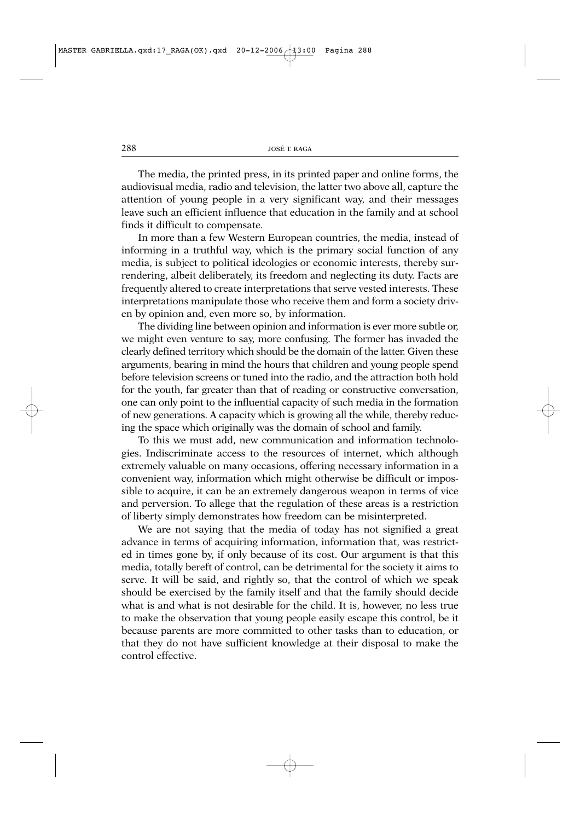The media, the printed press, in its printed paper and online forms, the audiovisual media, radio and television, the latter two above all, capture the attention of young people in a very significant way, and their messages leave such an efficient influence that education in the family and at school finds it difficult to compensate.

In more than a few Western European countries, the media, instead of informing in a truthful way, which is the primary social function of any media, is subject to political ideologies or economic interests, thereby surrendering, albeit deliberately, its freedom and neglecting its duty. Facts are frequently altered to create interpretations that serve vested interests. These interpretations manipulate those who receive them and form a society driven by opinion and, even more so, by information.

The dividing line between opinion and information is ever more subtle or, we might even venture to say, more confusing. The former has invaded the clearly defined territory which should be the domain of the latter. Given these arguments, bearing in mind the hours that children and young people spend before television screens or tuned into the radio, and the attraction both hold for the youth, far greater than that of reading or constructive conversation, one can only point to the influential capacity of such media in the formation of new generations. A capacity which is growing all the while, thereby reducing the space which originally was the domain of school and family.

To this we must add, new communication and information technologies. Indiscriminate access to the resources of internet, which although extremely valuable on many occasions, offering necessary information in a convenient way, information which might otherwise be difficult or impossible to acquire, it can be an extremely dangerous weapon in terms of vice and perversion. To allege that the regulation of these areas is a restriction of liberty simply demonstrates how freedom can be misinterpreted.

We are not saying that the media of today has not signified a great advance in terms of acquiring information, information that, was restricted in times gone by, if only because of its cost. Our argument is that this media, totally bereft of control, can be detrimental for the society it aims to serve. It will be said, and rightly so, that the control of which we speak should be exercised by the family itself and that the family should decide what is and what is not desirable for the child. It is, however, no less true to make the observation that young people easily escape this control, be it because parents are more committed to other tasks than to education, or that they do not have sufficient knowledge at their disposal to make the control effective.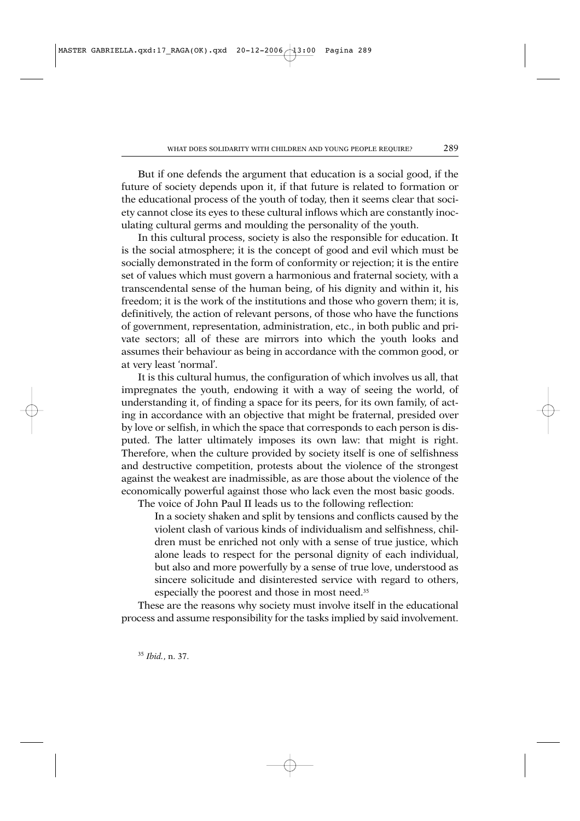But if one defends the argument that education is a social good, if the future of society depends upon it, if that future is related to formation or the educational process of the youth of today, then it seems clear that society cannot close its eyes to these cultural inflows which are constantly inoculating cultural germs and moulding the personality of the youth.

In this cultural process, society is also the responsible for education. It is the social atmosphere; it is the concept of good and evil which must be socially demonstrated in the form of conformity or rejection; it is the entire set of values which must govern a harmonious and fraternal society, with a transcendental sense of the human being, of his dignity and within it, his freedom; it is the work of the institutions and those who govern them; it is, definitively, the action of relevant persons, of those who have the functions of government, representation, administration, etc., in both public and private sectors; all of these are mirrors into which the youth looks and assumes their behaviour as being in accordance with the common good, or at very least 'normal'.

It is this cultural humus, the configuration of which involves us all, that impregnates the youth, endowing it with a way of seeing the world, of understanding it, of finding a space for its peers, for its own family, of acting in accordance with an objective that might be fraternal, presided over by love or selfish, in which the space that corresponds to each person is disputed. The latter ultimately imposes its own law: that might is right. Therefore, when the culture provided by society itself is one of selfishness and destructive competition, protests about the violence of the strongest against the weakest are inadmissible, as are those about the violence of the economically powerful against those who lack even the most basic goods. The voice of John Paul II leads us to the following reflection:

In a society shaken and split by tensions and conflicts caused by the violent clash of various kinds of individualism and selfishness, children must be enriched not only with a sense of true justice, which alone leads to respect for the personal dignity of each individual, but also and more powerfully by a sense of true love, understood as sincere solicitude and disinterested service with regard to others, especially the poorest and those in most need.35

These are the reasons why society must involve itself in the educational process and assume responsibility for the tasks implied by said involvement.

<sup>35</sup> *Ibid.*, n. 37.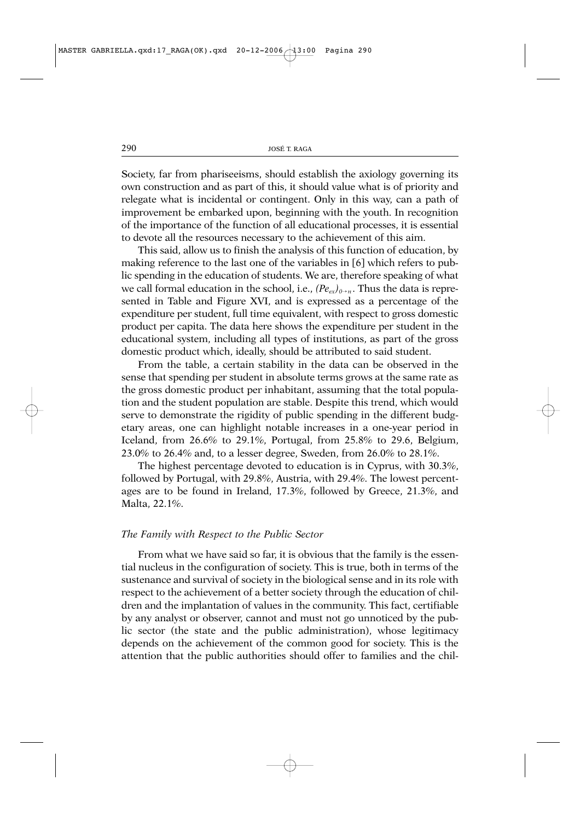Society, far from phariseeisms, should establish the axiology governing its own construction and as part of this, it should value what is of priority and relegate what is incidental or contingent. Only in this way, can a path of improvement be embarked upon, beginning with the youth. In recognition of the importance of the function of all educational processes, it is essential to devote all the resources necessary to the achievement of this aim.

This said, allow us to finish the analysis of this function of education, by making reference to the last one of the variables in [6] which refers to public spending in the education of students. We are, therefore speaking of what we call formal education in the school, i.e.,  $(Pe_{ex})_{0\rightarrow n}$ . Thus the data is represented in Table and Figure XVI, and is expressed as a percentage of the expenditure per student, full time equivalent, with respect to gross domestic product per capita. The data here shows the expenditure per student in the educational system, including all types of institutions, as part of the gross domestic product which, ideally, should be attributed to said student.

From the table, a certain stability in the data can be observed in the sense that spending per student in absolute terms grows at the same rate as the gross domestic product per inhabitant, assuming that the total population and the student population are stable. Despite this trend, which would serve to demonstrate the rigidity of public spending in the different budgetary areas, one can highlight notable increases in a one-year period in Iceland, from 26.6% to 29.1%, Portugal, from 25.8% to 29.6, Belgium, 23.0% to 26.4% and, to a lesser degree, Sweden, from 26.0% to 28.1%.

The highest percentage devoted to education is in Cyprus, with 30.3%, followed by Portugal, with 29.8%, Austria, with 29.4%. The lowest percentages are to be found in Ireland, 17.3%, followed by Greece, 21.3%, and Malta, 22.1%.

#### *The Family with Respect to the Public Sector*

From what we have said so far, it is obvious that the family is the essential nucleus in the configuration of society. This is true, both in terms of the sustenance and survival of society in the biological sense and in its role with respect to the achievement of a better society through the education of children and the implantation of values in the community. This fact, certifiable by any analyst or observer, cannot and must not go unnoticed by the public sector (the state and the public administration), whose legitimacy depends on the achievement of the common good for society. This is the attention that the public authorities should offer to families and the chil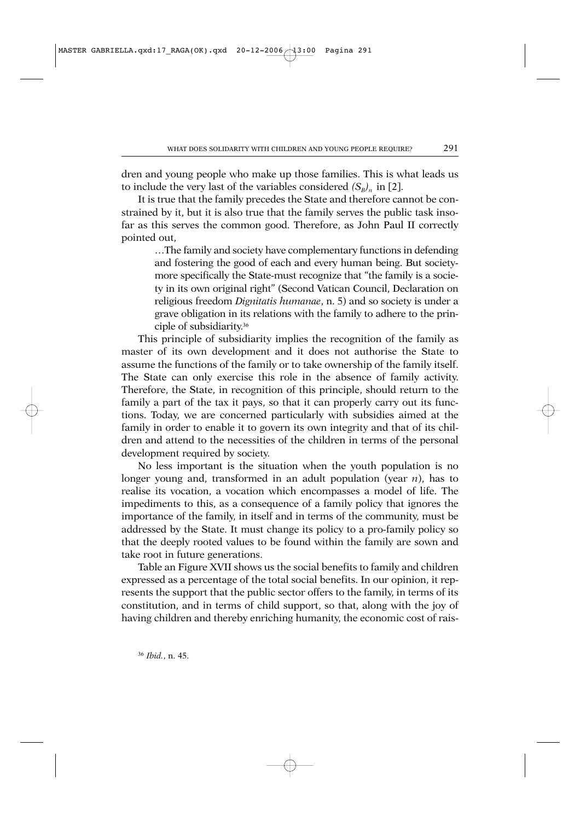dren and young people who make up those families. This is what leads us to include the very last of the variables considered  $(S_B)_n$  in [2].

It is true that the family precedes the State and therefore cannot be constrained by it, but it is also true that the family serves the public task insofar as this serves the common good. Therefore, as John Paul II correctly pointed out,

…The family and society have complementary functions in defending and fostering the good of each and every human being. But societymore specifically the State-must recognize that "the family is a society in its own original right" (Second Vatican Council, Declaration on religious freedom *Dignitatis humanae*, n. 5) and so society is under a grave obligation in its relations with the family to adhere to the principle of subsidiarity.36

This principle of subsidiarity implies the recognition of the family as master of its own development and it does not authorise the State to assume the functions of the family or to take ownership of the family itself. The State can only exercise this role in the absence of family activity. Therefore, the State, in recognition of this principle, should return to the family a part of the tax it pays, so that it can properly carry out its functions. Today, we are concerned particularly with subsidies aimed at the family in order to enable it to govern its own integrity and that of its children and attend to the necessities of the children in terms of the personal development required by society.

No less important is the situation when the youth population is no longer young and, transformed in an adult population (year *n*), has to realise its vocation, a vocation which encompasses a model of life. The impediments to this, as a consequence of a family policy that ignores the importance of the family, in itself and in terms of the community, must be addressed by the State. It must change its policy to a pro-family policy so that the deeply rooted values to be found within the family are sown and take root in future generations.

Table an Figure XVII shows us the social benefits to family and children expressed as a percentage of the total social benefits. In our opinion, it represents the support that the public sector offers to the family, in terms of its constitution, and in terms of child support, so that, along with the joy of having children and thereby enriching humanity, the economic cost of rais-

<sup>36</sup> *Ibid.*, n. 45.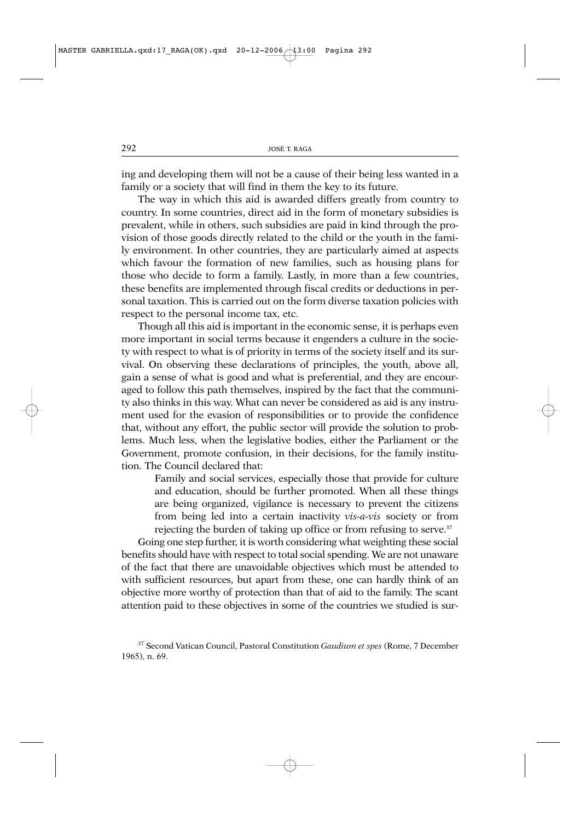ing and developing them will not be a cause of their being less wanted in a family or a society that will find in them the key to its future.

The way in which this aid is awarded differs greatly from country to country. In some countries, direct aid in the form of monetary subsidies is prevalent, while in others, such subsidies are paid in kind through the provision of those goods directly related to the child or the youth in the family environment. In other countries, they are particularly aimed at aspects which favour the formation of new families, such as housing plans for those who decide to form a family. Lastly, in more than a few countries, these benefits are implemented through fiscal credits or deductions in personal taxation. This is carried out on the form diverse taxation policies with respect to the personal income tax, etc.

Though all this aid is important in the economic sense, it is perhaps even more important in social terms because it engenders a culture in the society with respect to what is of priority in terms of the society itself and its survival. On observing these declarations of principles, the youth, above all, gain a sense of what is good and what is preferential, and they are encouraged to follow this path themselves, inspired by the fact that the community also thinks in this way. What can never be considered as aid is any instrument used for the evasion of responsibilities or to provide the confidence that, without any effort, the public sector will provide the solution to problems. Much less, when the legislative bodies, either the Parliament or the Government, promote confusion, in their decisions, for the family institution. The Council declared that:

Family and social services, especially those that provide for culture and education, should be further promoted. When all these things are being organized, vigilance is necessary to prevent the citizens from being led into a certain inactivity *vis-a-vis* society or from rejecting the burden of taking up office or from refusing to serve.<sup>37</sup>

Going one step further, it is worth considering what weighting these social benefits should have with respect to total social spending. We are not unaware of the fact that there are unavoidable objectives which must be attended to with sufficient resources, but apart from these, one can hardly think of an objective more worthy of protection than that of aid to the family. The scant attention paid to these objectives in some of the countries we studied is sur-

<sup>37</sup> Second Vatican Council, Pastoral Constitution *Gaudium et spes* (Rome, 7 December 1965), n. 69.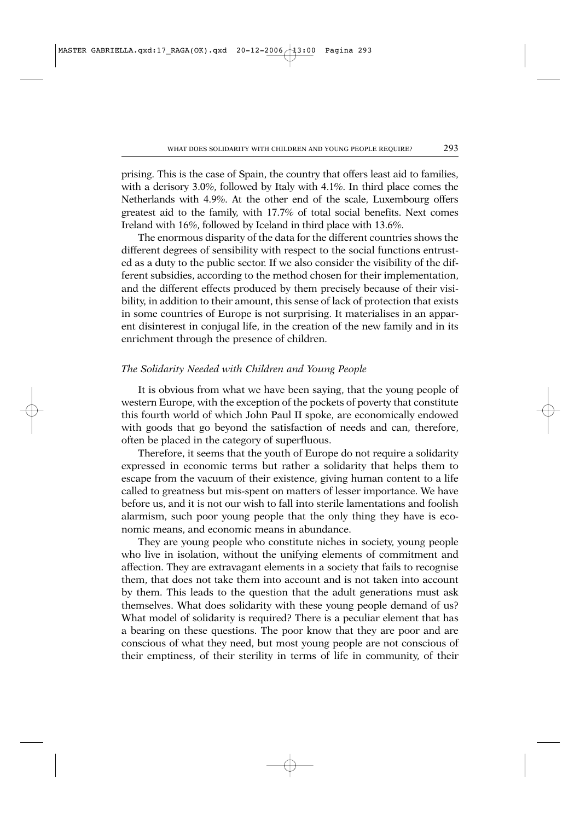prising. This is the case of Spain, the country that offers least aid to families, with a derisory 3.0%, followed by Italy with 4.1%. In third place comes the Netherlands with 4.9%. At the other end of the scale, Luxembourg offers greatest aid to the family, with 17.7% of total social benefits. Next comes Ireland with 16%, followed by Iceland in third place with 13.6%.

The enormous disparity of the data for the different countries shows the different degrees of sensibility with respect to the social functions entrusted as a duty to the public sector. If we also consider the visibility of the different subsidies, according to the method chosen for their implementation, and the different effects produced by them precisely because of their visibility, in addition to their amount, this sense of lack of protection that exists in some countries of Europe is not surprising. It materialises in an apparent disinterest in conjugal life, in the creation of the new family and in its enrichment through the presence of children.

## *The Solidarity Needed with Children and Young People*

It is obvious from what we have been saying, that the young people of western Europe, with the exception of the pockets of poverty that constitute this fourth world of which John Paul II spoke, are economically endowed with goods that go beyond the satisfaction of needs and can, therefore, often be placed in the category of superfluous.

Therefore, it seems that the youth of Europe do not require a solidarity expressed in economic terms but rather a solidarity that helps them to escape from the vacuum of their existence, giving human content to a life called to greatness but mis-spent on matters of lesser importance. We have before us, and it is not our wish to fall into sterile lamentations and foolish alarmism, such poor young people that the only thing they have is economic means, and economic means in abundance.

They are young people who constitute niches in society, young people who live in isolation, without the unifying elements of commitment and affection. They are extravagant elements in a society that fails to recognise them, that does not take them into account and is not taken into account by them. This leads to the question that the adult generations must ask themselves. What does solidarity with these young people demand of us? What model of solidarity is required? There is a peculiar element that has a bearing on these questions. The poor know that they are poor and are conscious of what they need, but most young people are not conscious of their emptiness, of their sterility in terms of life in community, of their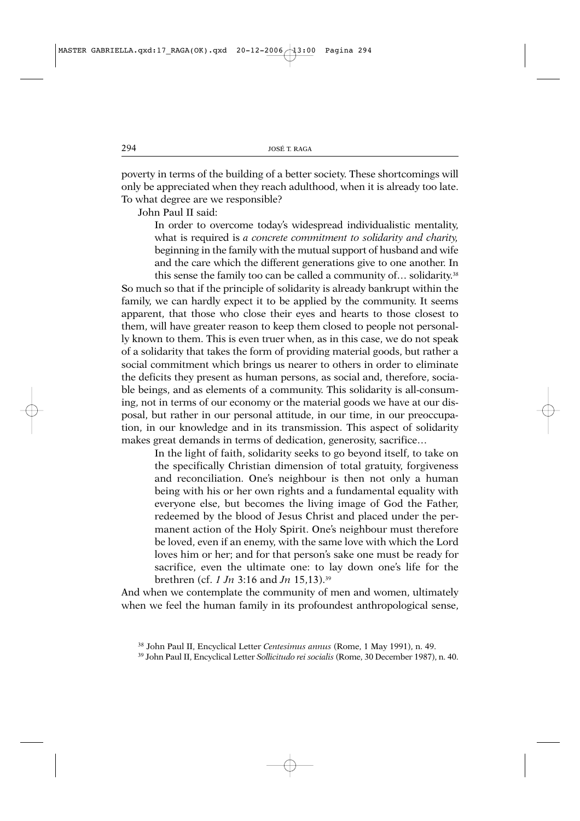poverty in terms of the building of a better society. These shortcomings will only be appreciated when they reach adulthood, when it is already too late. To what degree are we responsible?

John Paul II said:

In order to overcome today's widespread individualistic mentality, what is required is *a concrete commitment to solidarity and charity,* beginning in the family with the mutual support of husband and wife and the care which the different generations give to one another. In this sense the family too can be called a community of… solidarity.38 So much so that if the principle of solidarity is already bankrupt within the family, we can hardly expect it to be applied by the community. It seems apparent, that those who close their eyes and hearts to those closest to them, will have greater reason to keep them closed to people not personally known to them. This is even truer when, as in this case, we do not speak of a solidarity that takes the form of providing material goods, but rather a social commitment which brings us nearer to others in order to eliminate the deficits they present as human persons, as social and, therefore, sociable beings, and as elements of a community. This solidarity is all-consuming, not in terms of our economy or the material goods we have at our disposal, but rather in our personal attitude, in our time, in our preoccupation, in our knowledge and in its transmission. This aspect of solidarity

makes great demands in terms of dedication, generosity, sacrifice…

In the light of faith, solidarity seeks to go beyond itself, to take on the specifically Christian dimension of total gratuity, forgiveness and reconciliation. One's neighbour is then not only a human being with his or her own rights and a fundamental equality with everyone else, but becomes the living image of God the Father, redeemed by the blood of Jesus Christ and placed under the permanent action of the Holy Spirit. One's neighbour must therefore be loved, even if an enemy, with the same love with which the Lord loves him or her; and for that person's sake one must be ready for sacrifice, even the ultimate one: to lay down one's life for the brethren (cf. *1 Jn* 3:16 and *Jn* 15,13).39

And when we contemplate the community of men and women, ultimately when we feel the human family in its profoundest anthropological sense,

<sup>38</sup> John Paul II, Encyclical Letter *Centesimus annus* (Rome, 1 May 1991), n. 49.

<sup>39</sup> John Paul II, Encyclical Letter *Sollicitudo rei socialis* (Rome, 30 December 1987), n. 40.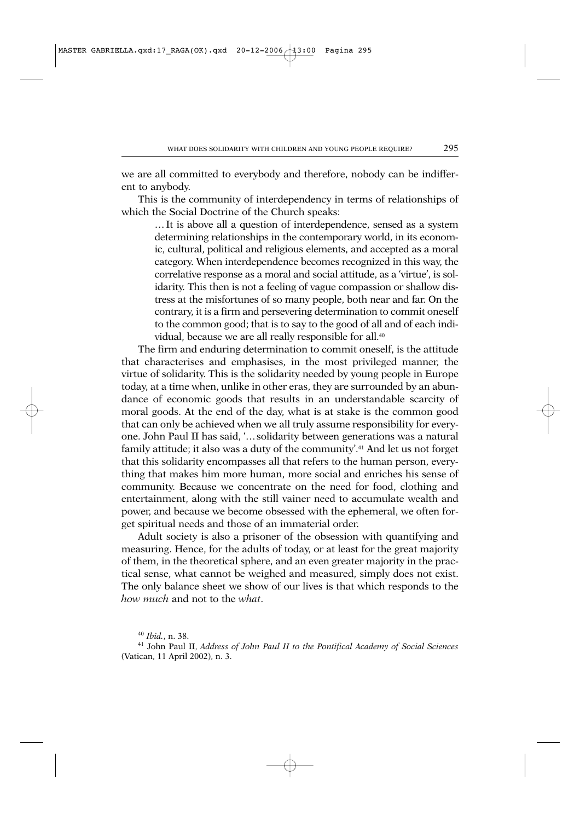we are all committed to everybody and therefore, nobody can be indifferent to anybody.

This is the community of interdependency in terms of relationships of which the Social Doctrine of the Church speaks:

… It is above all a question of interdependence, sensed as a system determining relationships in the contemporary world, in its economic, cultural, political and religious elements, and accepted as a moral category. When interdependence becomes recognized in this way, the correlative response as a moral and social attitude, as a 'virtue', is solidarity. This then is not a feeling of vague compassion or shallow distress at the misfortunes of so many people, both near and far. On the contrary, it is a firm and persevering determination to commit oneself to the common good; that is to say to the good of all and of each individual, because we are all really responsible for all.40

The firm and enduring determination to commit oneself, is the attitude that characterises and emphasises, in the most privileged manner, the virtue of solidarity. This is the solidarity needed by young people in Europe today, at a time when, unlike in other eras, they are surrounded by an abundance of economic goods that results in an understandable scarcity of moral goods. At the end of the day, what is at stake is the common good that can only be achieved when we all truly assume responsibility for everyone. John Paul II has said, '…solidarity between generations was a natural family attitude; it also was a duty of the community'.<sup>41</sup> And let us not forget that this solidarity encompasses all that refers to the human person, everything that makes him more human, more social and enriches his sense of community. Because we concentrate on the need for food, clothing and entertainment, along with the still vainer need to accumulate wealth and power, and because we become obsessed with the ephemeral, we often forget spiritual needs and those of an immaterial order.

Adult society is also a prisoner of the obsession with quantifying and measuring. Hence, for the adults of today, or at least for the great majority of them, in the theoretical sphere, and an even greater majority in the practical sense, what cannot be weighed and measured, simply does not exist. The only balance sheet we show of our lives is that which responds to the *how much* and not to the *what*.

<sup>40</sup> *Ibid.*, n. 38.

<sup>41</sup> John Paul II, *Address of John Paul II to the Pontifical Academy of Social Sciences* (Vatican, 11 April 2002), n. 3.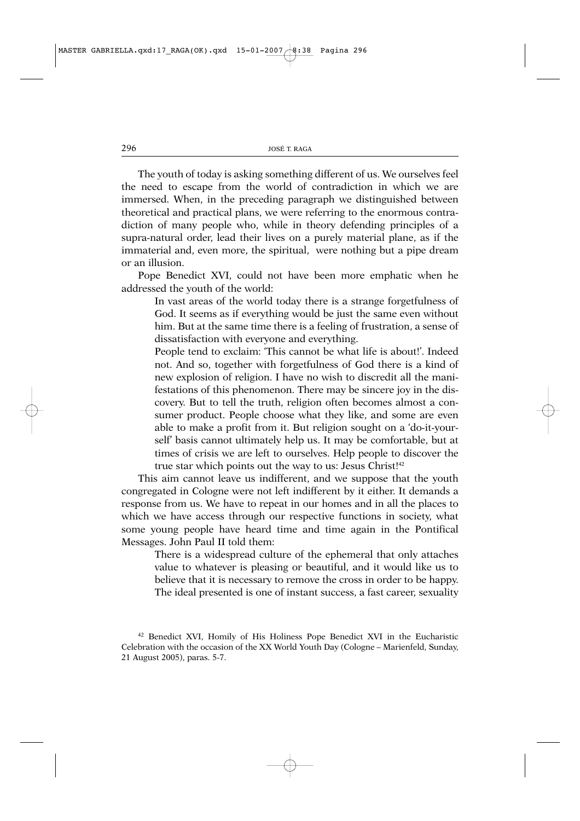The youth of today is asking something different of us. We ourselves feel the need to escape from the world of contradiction in which we are immersed. When, in the preceding paragraph we distinguished between theoretical and practical plans, we were referring to the enormous contradiction of many people who, while in theory defending principles of a supra-natural order, lead their lives on a purely material plane, as if the immaterial and, even more, the spiritual, were nothing but a pipe dream or an illusion.

Pope Benedict XVI, could not have been more emphatic when he addressed the youth of the world:

In vast areas of the world today there is a strange forgetfulness of God. It seems as if everything would be just the same even without him. But at the same time there is a feeling of frustration, a sense of dissatisfaction with everyone and everything.

People tend to exclaim: 'This cannot be what life is about!'. Indeed not. And so, together with forgetfulness of God there is a kind of new explosion of religion. I have no wish to discredit all the manifestations of this phenomenon. There may be sincere joy in the discovery. But to tell the truth, religion often becomes almost a consumer product. People choose what they like, and some are even able to make a profit from it. But religion sought on a 'do-it-yourself' basis cannot ultimately help us. It may be comfortable, but at times of crisis we are left to ourselves. Help people to discover the true star which points out the way to us: Jesus Christ!<sup>42</sup>

This aim cannot leave us indifferent, and we suppose that the youth congregated in Cologne were not left indifferent by it either. It demands a response from us. We have to repeat in our homes and in all the places to which we have access through our respective functions in society, what some young people have heard time and time again in the Pontifical Messages. John Paul II told them:

There is a widespread culture of the ephemeral that only attaches value to whatever is pleasing or beautiful, and it would like us to believe that it is necessary to remove the cross in order to be happy. The ideal presented is one of instant success, a fast career, sexuality

<sup>42</sup> Benedict XVI, Homily of His Holiness Pope Benedict XVI in the Eucharistic Celebration with the occasion of the XX World Youth Day (Cologne – Marienfeld, Sunday, 21 August 2005), paras. 5-7.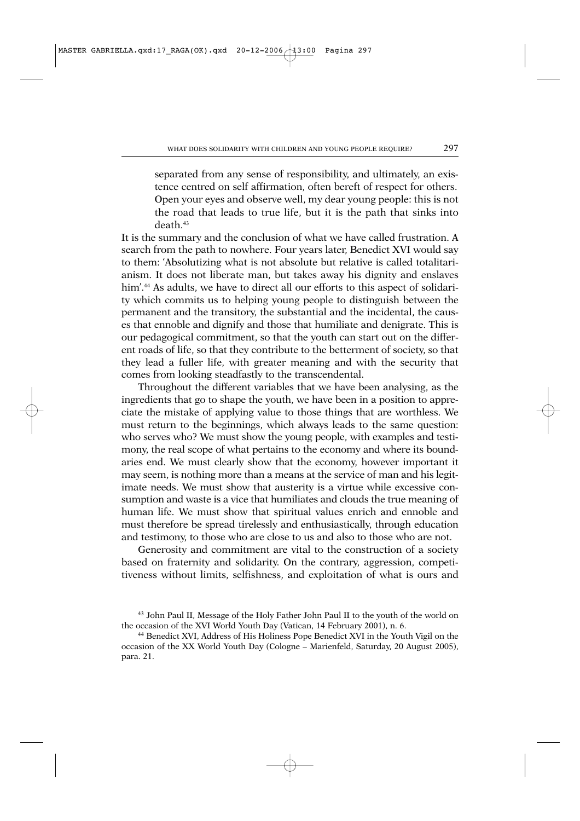separated from any sense of responsibility, and ultimately, an existence centred on self affirmation, often bereft of respect for others. Open your eyes and observe well, my dear young people: this is not the road that leads to true life, but it is the path that sinks into death.43

It is the summary and the conclusion of what we have called frustration. A search from the path to nowhere. Four years later, Benedict XVI would say to them: 'Absolutizing what is not absolute but relative is called totalitarianism. It does not liberate man, but takes away his dignity and enslaves him'.<sup>44</sup> As adults, we have to direct all our efforts to this aspect of solidarity which commits us to helping young people to distinguish between the permanent and the transitory, the substantial and the incidental, the causes that ennoble and dignify and those that humiliate and denigrate. This is our pedagogical commitment, so that the youth can start out on the different roads of life, so that they contribute to the betterment of society, so that they lead a fuller life, with greater meaning and with the security that comes from looking steadfastly to the transcendental.

Throughout the different variables that we have been analysing, as the ingredients that go to shape the youth, we have been in a position to appreciate the mistake of applying value to those things that are worthless. We must return to the beginnings, which always leads to the same question: who serves who? We must show the young people, with examples and testimony, the real scope of what pertains to the economy and where its boundaries end. We must clearly show that the economy, however important it may seem, is nothing more than a means at the service of man and his legitimate needs. We must show that austerity is a virtue while excessive consumption and waste is a vice that humiliates and clouds the true meaning of human life. We must show that spiritual values enrich and ennoble and must therefore be spread tirelessly and enthusiastically, through education and testimony, to those who are close to us and also to those who are not.

Generosity and commitment are vital to the construction of a society based on fraternity and solidarity. On the contrary, aggression, competitiveness without limits, selfishness, and exploitation of what is ours and

<sup>43</sup> John Paul II, Message of the Holy Father John Paul II to the youth of the world on the occasion of the XVI World Youth Day (Vatican, 14 February 2001), n. 6.

<sup>44</sup> Benedict XVI, Address of His Holiness Pope Benedict XVI in the Youth Vigil on the occasion of the XX World Youth Day (Cologne – Marienfeld, Saturday, 20 August 2005), para. 21.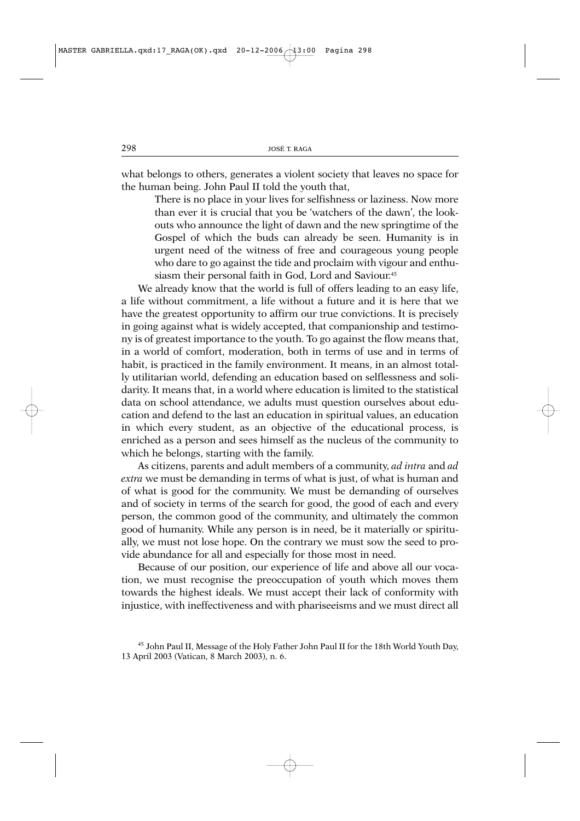what belongs to others, generates a violent society that leaves no space for the human being. John Paul II told the youth that,

There is no place in your lives for selfishness or laziness. Now more than ever it is crucial that you be 'watchers of the dawn', the lookouts who announce the light of dawn and the new springtime of the Gospel of which the buds can already be seen. Humanity is in urgent need of the witness of free and courageous young people who dare to go against the tide and proclaim with vigour and enthusiasm their personal faith in God, Lord and Saviour.45

We already know that the world is full of offers leading to an easy life. a life without commitment, a life without a future and it is here that we have the greatest opportunity to affirm our true convictions. It is precisely in going against what is widely accepted, that companionship and testimony is of greatest importance to the youth. To go against the flow means that, in a world of comfort, moderation, both in terms of use and in terms of habit, is practiced in the family environment. It means, in an almost totally utilitarian world, defending an education based on selflessness and solidarity. It means that, in a world where education is limited to the statistical data on school attendance, we adults must question ourselves about education and defend to the last an education in spiritual values, an education in which every student, as an objective of the educational process, is enriched as a person and sees himself as the nucleus of the community to which he belongs, starting with the family.

As citizens, parents and adult members of a community, *ad intra* and *ad extra* we must be demanding in terms of what is just, of what is human and of what is good for the community. We must be demanding of ourselves and of society in terms of the search for good, the good of each and every person, the common good of the community, and ultimately the common good of humanity. While any person is in need, be it materially or spiritually, we must not lose hope. On the contrary we must sow the seed to provide abundance for all and especially for those most in need.

Because of our position, our experience of life and above all our vocation, we must recognise the preoccupation of youth which moves them towards the highest ideals. We must accept their lack of conformity with injustice, with ineffectiveness and with phariseeisms and we must direct all

<sup>45</sup> John Paul II, Message of the Holy Father John Paul II for the 18th World Youth Day, 13 April 2003 (Vatican, 8 March 2003), n. 6.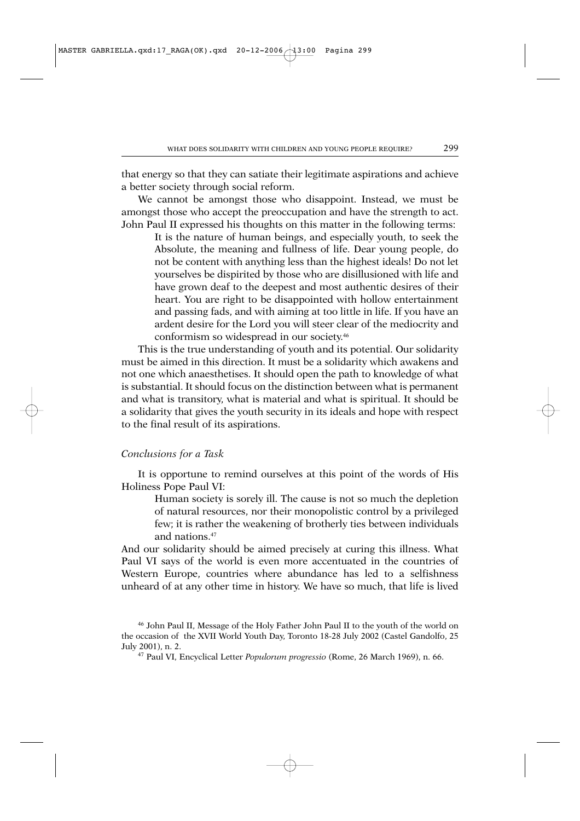that energy so that they can satiate their legitimate aspirations and achieve a better society through social reform.

We cannot be amongst those who disappoint. Instead, we must be amongst those who accept the preoccupation and have the strength to act. John Paul II expressed his thoughts on this matter in the following terms:

It is the nature of human beings, and especially youth, to seek the Absolute, the meaning and fullness of life. Dear young people, do not be content with anything less than the highest ideals! Do not let yourselves be dispirited by those who are disillusioned with life and have grown deaf to the deepest and most authentic desires of their heart. You are right to be disappointed with hollow entertainment and passing fads, and with aiming at too little in life. If you have an ardent desire for the Lord you will steer clear of the mediocrity and conformism so widespread in our society.46

This is the true understanding of youth and its potential. Our solidarity must be aimed in this direction. It must be a solidarity which awakens and not one which anaesthetises. It should open the path to knowledge of what is substantial. It should focus on the distinction between what is permanent and what is transitory, what is material and what is spiritual. It should be a solidarity that gives the youth security in its ideals and hope with respect to the final result of its aspirations.

## *Conclusions for a Task*

It is opportune to remind ourselves at this point of the words of His Holiness Pope Paul VI:

Human society is sorely ill. The cause is not so much the depletion of natural resources, nor their monopolistic control by a privileged few; it is rather the weakening of brotherly ties between individuals and nations.47

And our solidarity should be aimed precisely at curing this illness. What Paul VI says of the world is even more accentuated in the countries of Western Europe, countries where abundance has led to a selfishness unheard of at any other time in history. We have so much, that life is lived

<sup>46</sup> John Paul II, Message of the Holy Father John Paul II to the youth of the world on the occasion of the XVII World Youth Day, Toronto 18-28 July 2002 (Castel Gandolfo, 25 July 2001), n. 2. 47 Paul VI, Encyclical Letter *Populorum progressio* (Rome, 26 March 1969), n. 66.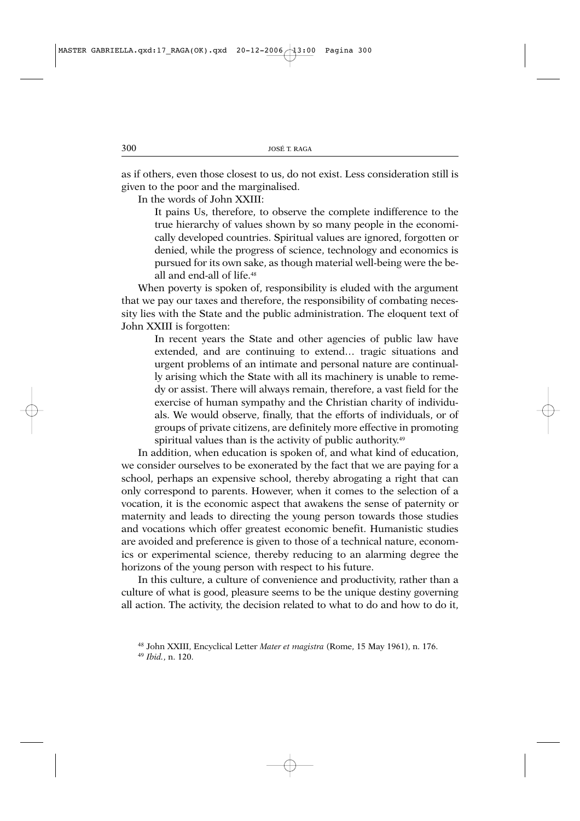as if others, even those closest to us, do not exist. Less consideration still is given to the poor and the marginalised.

In the words of John XXIII:

It pains Us, therefore, to observe the complete indifference to the true hierarchy of values shown by so many people in the economically developed countries. Spiritual values are ignored, forgotten or denied, while the progress of science, technology and economics is pursued for its own sake, as though material well-being were the beall and end-all of life.48

When poverty is spoken of, responsibility is eluded with the argument that we pay our taxes and therefore, the responsibility of combating necessity lies with the State and the public administration. The eloquent text of John XXIII is forgotten:

In recent years the State and other agencies of public law have extended, and are continuing to extend… tragic situations and urgent problems of an intimate and personal nature are continually arising which the State with all its machinery is unable to remedy or assist. There will always remain, therefore, a vast field for the exercise of human sympathy and the Christian charity of individuals. We would observe, finally, that the efforts of individuals, or of groups of private citizens, are definitely more effective in promoting spiritual values than is the activity of public authority.<sup>49</sup>

In addition, when education is spoken of, and what kind of education, we consider ourselves to be exonerated by the fact that we are paying for a school, perhaps an expensive school, thereby abrogating a right that can only correspond to parents. However, when it comes to the selection of a vocation, it is the economic aspect that awakens the sense of paternity or maternity and leads to directing the young person towards those studies and vocations which offer greatest economic benefit. Humanistic studies are avoided and preference is given to those of a technical nature, economics or experimental science, thereby reducing to an alarming degree the horizons of the young person with respect to his future.

In this culture, a culture of convenience and productivity, rather than a culture of what is good, pleasure seems to be the unique destiny governing all action. The activity, the decision related to what to do and how to do it,

<sup>48</sup> John XXIII, Encyclical Letter *Mater et magistra* (Rome, 15 May 1961), n. 176.

<sup>49</sup> *Ibid.*, n. 120.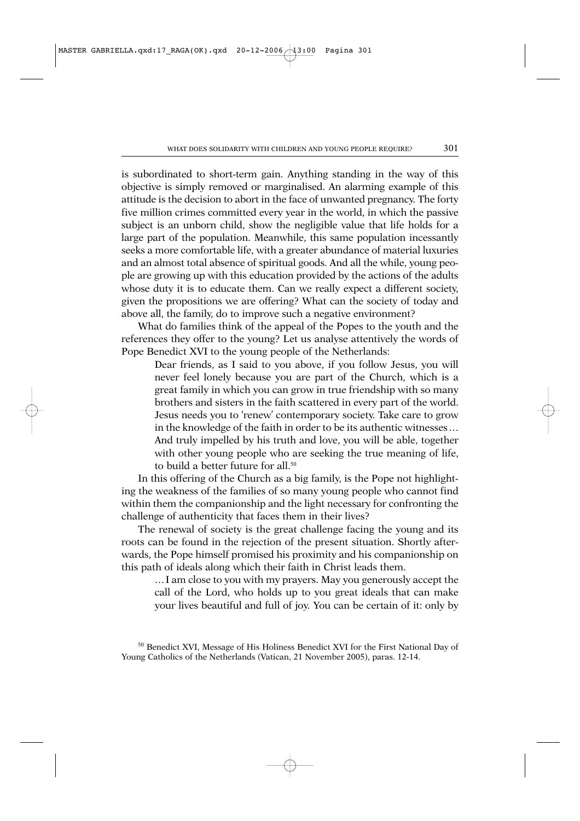is subordinated to short-term gain. Anything standing in the way of this objective is simply removed or marginalised. An alarming example of this attitude is the decision to abort in the face of unwanted pregnancy. The forty five million crimes committed every year in the world, in which the passive subject is an unborn child, show the negligible value that life holds for a large part of the population. Meanwhile, this same population incessantly seeks a more comfortable life, with a greater abundance of material luxuries and an almost total absence of spiritual goods. And all the while, young people are growing up with this education provided by the actions of the adults whose duty it is to educate them. Can we really expect a different society, given the propositions we are offering? What can the society of today and above all, the family, do to improve such a negative environment?

What do families think of the appeal of the Popes to the youth and the references they offer to the young? Let us analyse attentively the words of Pope Benedict XVI to the young people of the Netherlands:

Dear friends, as I said to you above, if you follow Jesus, you will never feel lonely because you are part of the Church, which is a great family in which you can grow in true friendship with so many brothers and sisters in the faith scattered in every part of the world. Jesus needs you to 'renew' contemporary society. Take care to grow in the knowledge of the faith in order to be its authentic witnesses… And truly impelled by his truth and love, you will be able, together with other young people who are seeking the true meaning of life, to build a better future for all.<sup>50</sup>

In this offering of the Church as a big family, is the Pope not highlighting the weakness of the families of so many young people who cannot find within them the companionship and the light necessary for confronting the challenge of authenticity that faces them in their lives?

The renewal of society is the great challenge facing the young and its roots can be found in the rejection of the present situation. Shortly afterwards, the Pope himself promised his proximity and his companionship on this path of ideals along which their faith in Christ leads them.

…I am close to you with my prayers. May you generously accept the call of the Lord, who holds up to you great ideals that can make your lives beautiful and full of joy. You can be certain of it: only by

<sup>50</sup> Benedict XVI, Message of His Holiness Benedict XVI for the First National Day of Young Catholics of the Netherlands (Vatican, 21 November 2005), paras. 12-14.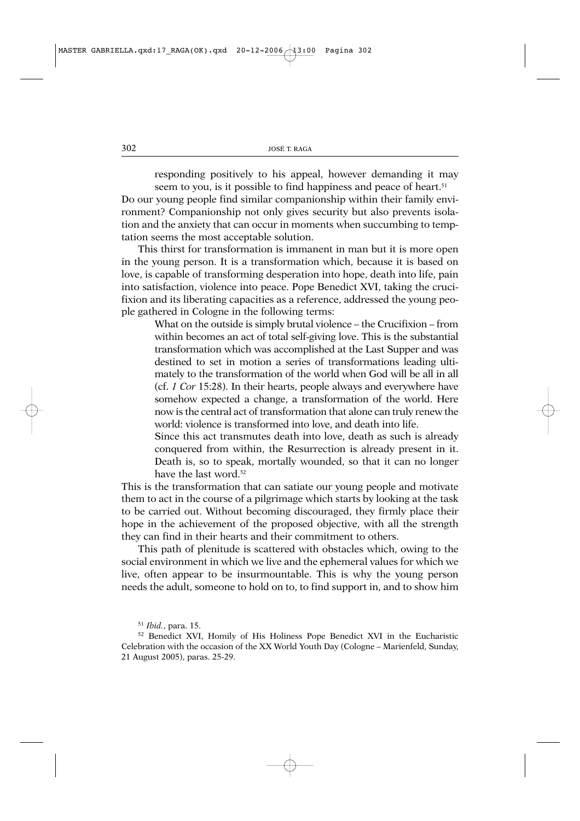responding positively to his appeal, however demanding it may seem to you, is it possible to find happiness and peace of heart.<sup>51</sup>

Do our young people find similar companionship within their family environment? Companionship not only gives security but also prevents isolation and the anxiety that can occur in moments when succumbing to temptation seems the most acceptable solution.

This thirst for transformation is immanent in man but it is more open in the young person. It is a transformation which, because it is based on love, is capable of transforming desperation into hope, death into life, pain into satisfaction, violence into peace. Pope Benedict XVI, taking the crucifixion and its liberating capacities as a reference, addressed the young people gathered in Cologne in the following terms:

What on the outside is simply brutal violence – the Crucifixion – from within becomes an act of total self-giving love. This is the substantial transformation which was accomplished at the Last Supper and was destined to set in motion a series of transformations leading ultimately to the transformation of the world when God will be all in all (cf. *1 Cor* 15:28). In their hearts, people always and everywhere have somehow expected a change, a transformation of the world. Here now is the central act of transformation that alone can truly renew the world: violence is transformed into love, and death into life.

Since this act transmutes death into love, death as such is already conquered from within, the Resurrection is already present in it. Death is, so to speak, mortally wounded, so that it can no longer have the last word.<sup>52</sup>

This is the transformation that can satiate our young people and motivate them to act in the course of a pilgrimage which starts by looking at the task to be carried out. Without becoming discouraged, they firmly place their hope in the achievement of the proposed objective, with all the strength they can find in their hearts and their commitment to others.

This path of plenitude is scattered with obstacles which, owing to the social environment in which we live and the ephemeral values for which we live, often appear to be insurmountable. This is why the young person needs the adult, someone to hold on to, to find support in, and to show him

<sup>51</sup> *Ibid.*, para. 15.

<sup>52</sup> Benedict XVI, Homily of His Holiness Pope Benedict XVI in the Eucharistic Celebration with the occasion of the XX World Youth Day (Cologne – Marienfeld, Sunday, 21 August 2005), paras. 25-29.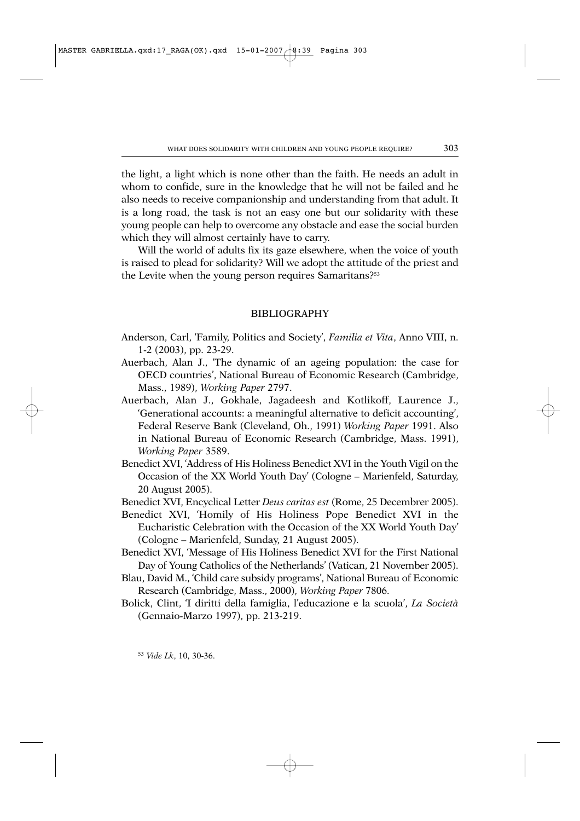the light, a light which is none other than the faith. He needs an adult in whom to confide, sure in the knowledge that he will not be failed and he also needs to receive companionship and understanding from that adult. It is a long road, the task is not an easy one but our solidarity with these young people can help to overcome any obstacle and ease the social burden which they will almost certainly have to carry.

Will the world of adults fix its gaze elsewhere, when the voice of youth is raised to plead for solidarity? Will we adopt the attitude of the priest and the Levite when the young person requires Samaritans?53

#### BIBLIOGRAPHY

- Anderson, Carl, 'Family, Politics and Society', *Familia et Vita*, Anno VIII, n. 1-2 (2003), pp. 23-29.
- Auerbach, Alan J., 'The dynamic of an ageing population: the case for OECD countries', National Bureau of Economic Research (Cambridge, Mass., 1989), *Working Paper* 2797.
- Auerbach, Alan J., Gokhale, Jagadeesh and Kotlikoff, Laurence J., 'Generational accounts: a meaningful alternative to deficit accounting', Federal Reserve Bank (Cleveland, Oh., 1991) *Working Paper* 1991. Also in National Bureau of Economic Research (Cambridge, Mass. 1991), *Working Paper* 3589.
- Benedict XVI, 'Address of His Holiness Benedict XVI in the Youth Vigil on the Occasion of the XX World Youth Day' (Cologne – Marienfeld, Saturday, 20 August 2005).
- Benedict XVI, Encyclical Letter *Deus caritas est* (Rome, 25 Decembrer 2005).
- Benedict XVI, 'Homily of His Holiness Pope Benedict XVI in the Eucharistic Celebration with the Occasion of the XX World Youth Day' (Cologne – Marienfeld, Sunday, 21 August 2005).
- Benedict XVI, 'Message of His Holiness Benedict XVI for the First National Day of Young Catholics of the Netherlands' (Vatican, 21 November 2005).
- Blau, David M., 'Child care subsidy programs', National Bureau of Economic Research (Cambridge, Mass., 2000), *Working Paper* 7806.
- Bolick, Clint, 'I diritti della famiglia, l'educazione e la scuola', *La Società* (Gennaio-Marzo 1997), pp. 213-219.

<sup>53</sup> *Vide Lk*, 10, 30-36.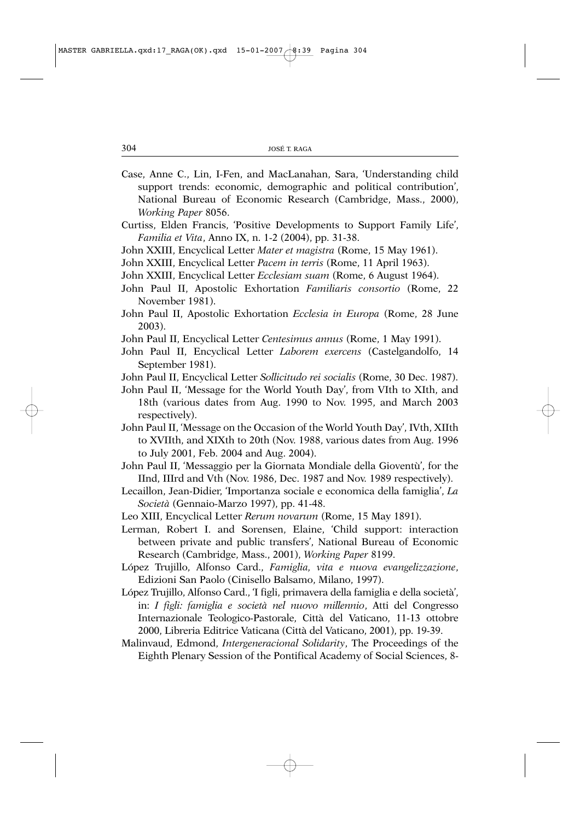- Case, Anne C., Lin, I-Fen, and MacLanahan, Sara, 'Understanding child support trends: economic, demographic and political contribution', National Bureau of Economic Research (Cambridge, Mass., 2000), *Working Paper* 8056.
- Curtiss, Elden Francis, 'Positive Developments to Support Family Life', *Familia et Vita*, Anno IX, n. 1-2 (2004), pp. 31-38.
- John XXIII, Encyclical Letter *Mater et magistra* (Rome, 15 May 1961).
- John XXIII, Encyclical Letter *Pacem in terris* (Rome, 11 April 1963).
- John XXIII, Encyclical Letter *Ecclesiam suam* (Rome, 6 August 1964).
- John Paul II, Apostolic Exhortation *Familiaris consortio* (Rome, 22 November 1981).
- John Paul II, Apostolic Exhortation *Ecclesia in Europa* (Rome, 28 June 2003).
- John Paul II, Encyclical Letter *Centesimus annus* (Rome, 1 May 1991).
- John Paul II, Encyclical Letter *Laborem exercens* (Castelgandolfo, 14 September 1981).
- John Paul II, Encyclical Letter *Sollicitudo rei socialis* (Rome, 30 Dec. 1987).
- John Paul II, 'Message for the World Youth Day', from VIth to XIth, and 18th (various dates from Aug. 1990 to Nov. 1995, and March 2003 respectively).
- John Paul II, 'Message on the Occasion of the World Youth Day', IVth, XIIth to XVIIth, and XIXth to 20th (Nov. 1988, various dates from Aug. 1996 to July 2001, Feb. 2004 and Aug. 2004).
- John Paul II, 'Messaggio per la Giornata Mondiale della Gioventù', for the IInd, IIIrd and Vth (Nov. 1986, Dec. 1987 and Nov. 1989 respectively).
- Lecaillon, Jean-Didier, 'Importanza sociale e economica della famiglia', *La Società* (Gennaio-Marzo 1997), pp. 41-48.
- Leo XIII, Encyclical Letter *Rerum novarum* (Rome, 15 May 1891).
- Lerman, Robert I. and Sorensen, Elaine, 'Child support: interaction between private and public transfers', National Bureau of Economic Research (Cambridge, Mass., 2001), *Working Paper* 8199.
- López Trujillo, Alfonso Card., *Famiglia, vita e nuova evangelizzazione*, Edizioni San Paolo (Cinisello Balsamo, Milano, 1997).
- López Trujillo, Alfonso Card., 'I figli, primavera della famiglia e della società', in: *I figli: famiglia e società nel nuovo millennio*, Atti del Congresso Internazionale Teologico-Pastorale, Città del Vaticano, 11-13 ottobre 2000, Libreria Editrice Vaticana (Città del Vaticano, 2001), pp. 19-39.
- Malinvaud, Edmond, *Intergeneracional Solidarity*, The Proceedings of the Eighth Plenary Session of the Pontifical Academy of Social Sciences, 8-